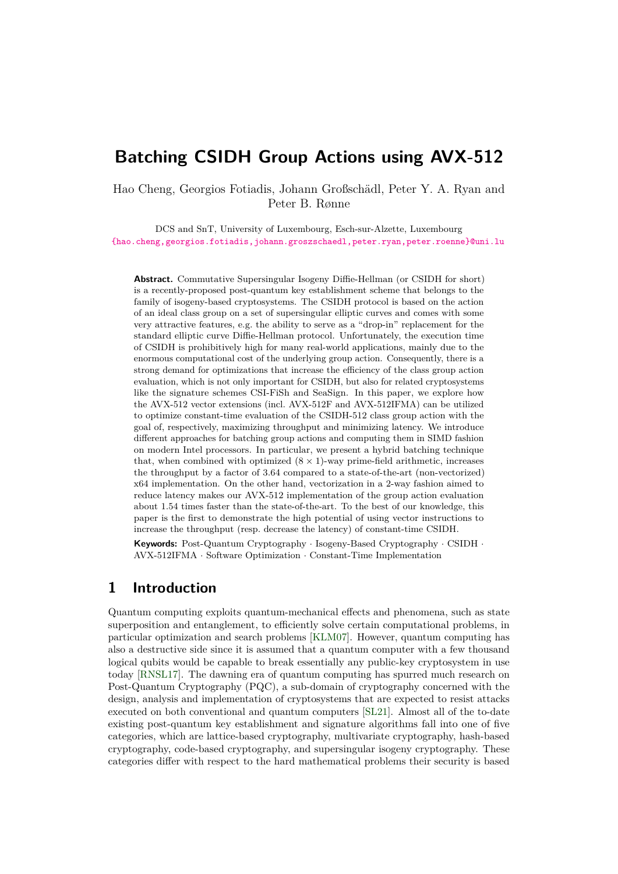# **Batching CSIDH Group Actions using AVX-512**

Hao Cheng, Georgios Fotiadis, Johann Großschädl, Peter Y. A. Ryan and Peter B. Rønne

DCS and SnT, University of Luxembourg, Esch-sur-Alzette, Luxembourg [{hao.cheng,georgios.fotiadis,johann.groszschaedl,peter.ryan,peter.roenne}@uni.lu](mailto:{hao.cheng, georgios.fotiadis, johann.groszschaedl, peter.ryan, peter.roenne}@uni.lu)

**Abstract.** Commutative Supersingular Isogeny Diffie-Hellman (or CSIDH for short) is a recently-proposed post-quantum key establishment scheme that belongs to the family of isogeny-based cryptosystems. The CSIDH protocol is based on the action of an ideal class group on a set of supersingular elliptic curves and comes with some very attractive features, e.g. the ability to serve as a "drop-in" replacement for the standard elliptic curve Diffie-Hellman protocol. Unfortunately, the execution time of CSIDH is prohibitively high for many real-world applications, mainly due to the enormous computational cost of the underlying group action. Consequently, there is a strong demand for optimizations that increase the efficiency of the class group action evaluation, which is not only important for CSIDH, but also for related cryptosystems like the signature schemes CSI-FiSh and SeaSign. In this paper, we explore how the AVX-512 vector extensions (incl. AVX-512F and AVX-512IFMA) can be utilized to optimize constant-time evaluation of the CSIDH-512 class group action with the goal of, respectively, maximizing throughput and minimizing latency. We introduce different approaches for batching group actions and computing them in SIMD fashion on modern Intel processors. In particular, we present a hybrid batching technique that, when combined with optimized  $(8 \times 1)$ -way prime-field arithmetic, increases the throughput by a factor of 3.64 compared to a state-of-the-art (non-vectorized) x64 implementation. On the other hand, vectorization in a 2-way fashion aimed to reduce latency makes our AVX-512 implementation of the group action evaluation about 1.54 times faster than the state-of-the-art. To the best of our knowledge, this paper is the first to demonstrate the high potential of using vector instructions to increase the throughput (resp. decrease the latency) of constant-time CSIDH.

**Keywords:** Post-Quantum Cryptography · Isogeny-Based Cryptography · CSIDH · AVX-512IFMA · Software Optimization · Constant-Time Implementation

# **1 Introduction**

Quantum computing exploits quantum-mechanical effects and phenomena, such as state superposition and entanglement, to efficiently solve certain computational problems, in particular optimization and search problems [\[KLM07\]](#page-25-0). However, quantum computing has also a destructive side since it is assumed that a quantum computer with a few thousand logical qubits would be capable to break essentially any public-key cryptosystem in use today [\[RNSL17\]](#page-26-0). The dawning era of quantum computing has spurred much research on Post-Quantum Cryptography (PQC), a sub-domain of cryptography concerned with the design, analysis and implementation of cryptosystems that are expected to resist attacks executed on both conventional and quantum computers [\[SL21\]](#page-26-1). Almost all of the to-date existing post-quantum key establishment and signature algorithms fall into one of five categories, which are lattice-based cryptography, multivariate cryptography, hash-based cryptography, code-based cryptography, and supersingular isogeny cryptography. These categories differ with respect to the hard mathematical problems their security is based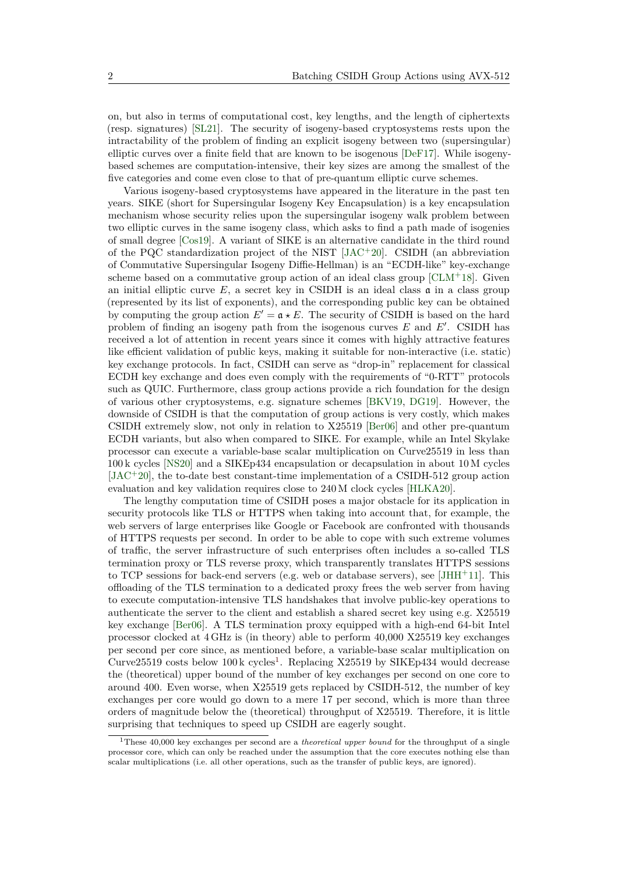on, but also in terms of computational cost, key lengths, and the length of ciphertexts (resp. signatures) [\[SL21\]](#page-26-1). The security of isogeny-based cryptosystems rests upon the intractability of the problem of finding an explicit isogeny between two (supersingular) elliptic curves over a finite field that are known to be isogenous [\[DeF17\]](#page-24-0). While isogenybased schemes are computation-intensive, their key sizes are among the smallest of the five categories and come even close to that of pre-quantum elliptic curve schemes.

Various isogeny-based cryptosystems have appeared in the literature in the past ten years. SIKE (short for Supersingular Isogeny Key Encapsulation) is a key encapsulation mechanism whose security relies upon the supersingular isogeny walk problem between two elliptic curves in the same isogeny class, which asks to find a path made of isogenies of small degree [\[Cos19\]](#page-24-1). A variant of SIKE is an alternative candidate in the third round of the PQC standardization project of the NIST [\[JAC](#page-25-1)<sup>+</sup>20]. CSIDH (an abbreviation of Commutative Supersingular Isogeny Diffie-Hellman) is an "ECDH-like" key-exchange scheme based on a commutative group action of an ideal class group  $\lbrack \text{CLM}^+18 \rbrack$ . Given an initial elliptic curve  $E$ , a secret key in CSIDH is an ideal class  $\mathfrak{a}$  in a class group (represented by its list of exponents), and the corresponding public key can be obtained by computing the group action  $E' = \mathfrak{a} \star E$ . The security of CSIDH is based on the hard problem of finding an isogeny path from the isogenous curves  $E$  and  $E'$ . CSIDH has received a lot of attention in recent years since it comes with highly attractive features like efficient validation of public keys, making it suitable for non-interactive (i.e. static) key exchange protocols. In fact, CSIDH can serve as "drop-in" replacement for classical ECDH key exchange and does even comply with the requirements of "0-RTT" protocols such as QUIC. Furthermore, class group actions provide a rich foundation for the design of various other cryptosystems, e.g. signature schemes [\[BKV19,](#page-23-0) [DG19\]](#page-24-3). However, the downside of CSIDH is that the computation of group actions is very costly, which makes CSIDH extremely slow, not only in relation to X25519 [\[Ber06\]](#page-23-1) and other pre-quantum ECDH variants, but also when compared to SIKE. For example, while an Intel Skylake processor can execute a variable-base scalar multiplication on Curve25519 in less than 100 k cycles [\[NS20\]](#page-26-2) and a SIKEp434 encapsulation or decapsulation in about 10 M cycles [\[JAC](#page-25-1)<sup>+</sup>20], the to-date best constant-time implementation of a CSIDH-512 group action evaluation and key validation requires close to 240 M clock cycles [\[HLKA20\]](#page-25-2).

The lengthy computation time of CSIDH poses a major obstacle for its application in security protocols like TLS or HTTPS when taking into account that, for example, the web servers of large enterprises like Google or Facebook are confronted with thousands of HTTPS requests per second. In order to be able to cope with such extreme volumes of traffic, the server infrastructure of such enterprises often includes a so-called TLS termination proxy or TLS reverse proxy, which transparently translates HTTPS sessions to TCP sessions for back-end servers (e.g. web or database servers), see [\[JHH](#page-25-3)<sup>+11]</sup>. This offloading of the TLS termination to a dedicated proxy frees the web server from having to execute computation-intensive TLS handshakes that involve public-key operations to authenticate the server to the client and establish a shared secret key using e.g. X25519 key exchange [\[Ber06\]](#page-23-1). A TLS termination proxy equipped with a high-end 64-bit Intel processor clocked at 4 GHz is (in theory) able to perform 40,000 X25519 key exchanges per second per core since, as mentioned before, a variable-base scalar multiplication on Curve255[1](#page-1-0)9 costs below  $100 \text{ k cycles}^1$ . Replacing X25519 by SIKEp434 would decrease the (theoretical) upper bound of the number of key exchanges per second on one core to around 400. Even worse, when X25519 gets replaced by CSIDH-512, the number of key exchanges per core would go down to a mere 17 per second, which is more than three orders of magnitude below the (theoretical) throughput of X25519. Therefore, it is little surprising that techniques to speed up CSIDH are eagerly sought.

<span id="page-1-0"></span><sup>1</sup>These 40,000 key exchanges per second are a *theoretical upper bound* for the throughput of a single processor core, which can only be reached under the assumption that the core executes nothing else than scalar multiplications (i.e. all other operations, such as the transfer of public keys, are ignored).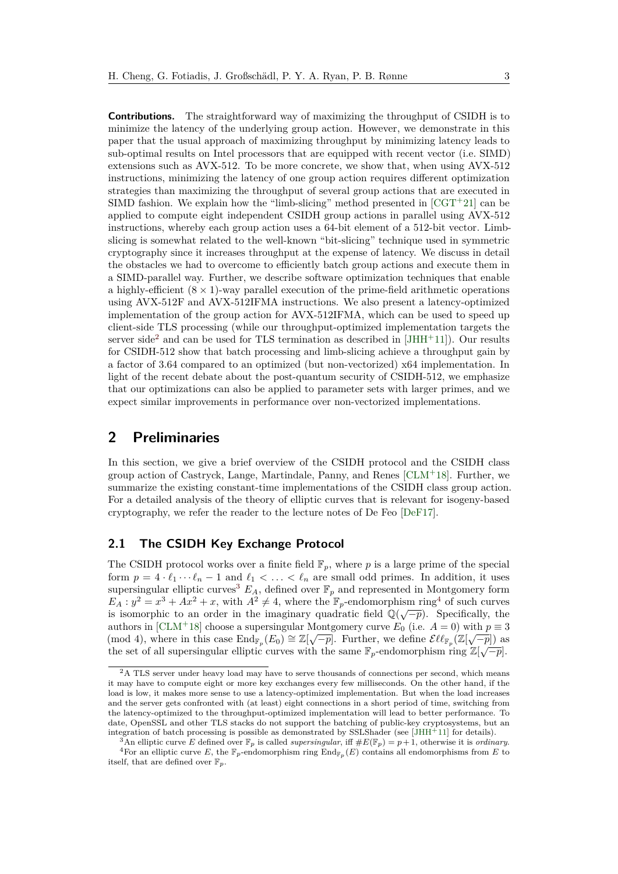**Contributions.** The straightforward way of maximizing the throughput of CSIDH is to minimize the latency of the underlying group action. However, we demonstrate in this paper that the usual approach of maximizing throughput by minimizing latency leads to sub-optimal results on Intel processors that are equipped with recent vector (i.e. SIMD) extensions such as AVX-512. To be more concrete, we show that, when using AVX-512 instructions, minimizing the latency of one group action requires different optimization strategies than maximizing the throughput of several group actions that are executed in SIMD fashion. We explain how the "limb-slicing" method presented in  $[CGT^+21]$  $[CGT^+21]$  can be applied to compute eight independent CSIDH group actions in parallel using AVX-512 instructions, whereby each group action uses a 64-bit element of a 512-bit vector. Limbslicing is somewhat related to the well-known "bit-slicing" technique used in symmetric cryptography since it increases throughput at the expense of latency. We discuss in detail the obstacles we had to overcome to efficiently batch group actions and execute them in a SIMD-parallel way. Further, we describe software optimization techniques that enable a highly-efficient  $(8 \times 1)$ -way parallel execution of the prime-field arithmetic operations using AVX-512F and AVX-512IFMA instructions. We also present a latency-optimized implementation of the group action for AVX-512IFMA, which can be used to speed up client-side TLS processing (while our throughput-optimized implementation targets the server side<sup>[2](#page-2-0)</sup> and can be used for TLS termination as described in  $[JHH^+11]$  $[JHH^+11]$ ). Our results for CSIDH-512 show that batch processing and limb-slicing achieve a throughput gain by a factor of 3.64 compared to an optimized (but non-vectorized) x64 implementation. In light of the recent debate about the post-quantum security of CSIDH-512, we emphasize that our optimizations can also be applied to parameter sets with larger primes, and we expect similar improvements in performance over non-vectorized implementations.

# **2 Preliminaries**

In this section, we give a brief overview of the CSIDH protocol and the CSIDH class group action of Castryck, Lange, Martindale, Panny, and Renes [\[CLM](#page-24-2)<sup>+</sup>18]. Further, we summarize the existing constant-time implementations of the CSIDH class group action. For a detailed analysis of the theory of elliptic curves that is relevant for isogeny-based cryptography, we refer the reader to the lecture notes of De Feo [\[DeF17\]](#page-24-0).

### **2.1 The CSIDH Key Exchange Protocol**

The CSIDH protocol works over a finite field  $\mathbb{F}_p$ , where p is a large prime of the special form  $p = 4 \cdot \ell_1 \cdots \ell_n - 1$  and  $\ell_1 < \ldots < \ell_n$  are small odd primes. In addition, it uses supersingular elliptic curves<sup>[3](#page-2-1)</sup>  $E_A$ , defined over  $\mathbb{F}_p$  and represented in Montgomery form  $E_A: y^2 = x^3 + Ax^2 + x$ , with  $A^2 \neq 4$  $A^2 \neq 4$ , where the  $\mathbb{F}_p$ -endomorphism ring<sup>4</sup> of such curves is isomorphic to an order in the imaginary quadratic field  $\mathbb{Q}(\sqrt{-p})$ . Specifically, the authors in [\[CLM](#page-24-2)<sup>+</sup>18] choose a supersingular Montgomery curve  $E_0$  (i.e.  $A = 0$ ) with  $p \equiv 3$ (mod 4), where in this case  $\text{End}_{\mathbb{F}_p}(E_0) \cong \mathbb{Z}[\sqrt{-p}]$ . Further, we define  $\mathcal{E}\ell\ell_{\mathbb{F}_p}(\mathbb{Z}[\sqrt{-p}])$  as the set of all supersingular elliptic curves with the same  $\mathbb{F}_p$ -endomorphism ring  $\mathbb{Z}[\sqrt{-p}]$ .

<span id="page-2-0"></span><sup>&</sup>lt;sup>2</sup>A TLS server under heavy load may have to serve thousands of connections per second, which means it may have to compute eight or more key exchanges every few milliseconds. On the other hand, if the load is low, it makes more sense to use a latency-optimized implementation. But when the load increases and the server gets confronted with (at least) eight connections in a short period of time, switching from the latency-optimized to the throughput-optimized implementation will lead to better performance. To date, OpenSSL and other TLS stacks do not support the batching of public-key cryptosystems, but an integration of batch processing is possible as demonstrated by SSLShader (see [\[JHH](#page-25-3)<sup>+</sup>11] for details).

<span id="page-2-2"></span><span id="page-2-1"></span><sup>&</sup>lt;sup>3</sup>An elliptic curve *E* defined over  $\mathbb{F}_p$  is called *supersingular*, iff  $\#E(\mathbb{F}_p) = p+1$ , otherwise it is *ordinary*. <sup>4</sup>For an elliptic curve *E*, the  $\mathbb{F}_p$ -endomorphism ring  $\text{End}_{\mathbb{F}_p}(E)$  contains all endomorphisms from *E* to itself, that are defined over  $\mathbb{F}_p$ .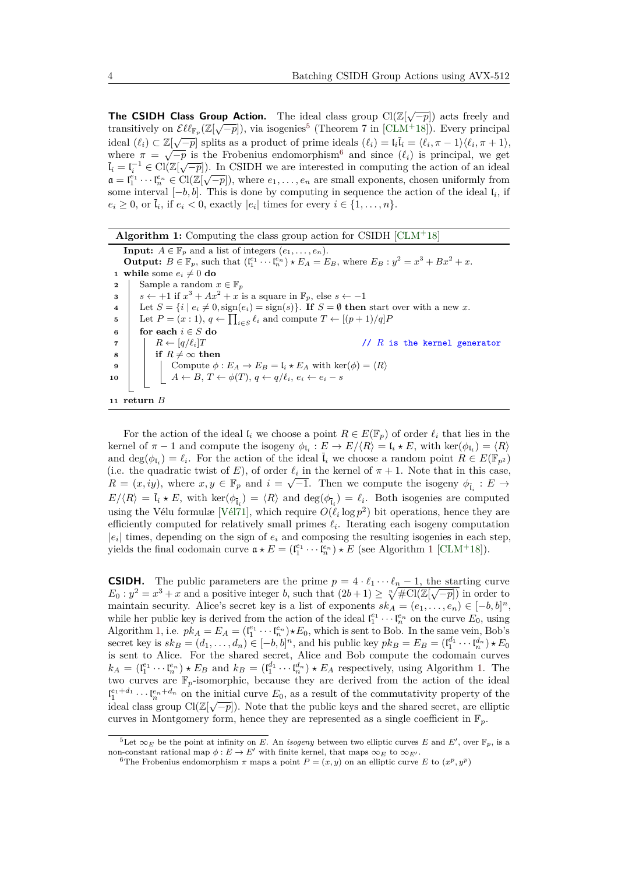**The CSIDH Class Group Action.** The ideal class group  $Cl(\mathbb{Z}[\sqrt{-p}])$  acts freely and transitively on  $\mathcal{E}\ell\ell_{\mathbb{F}_p}(\mathbb{Z}[\sqrt{-p}])$ , via isogenies<sup>[5](#page-3-0)</sup> (Theorem 7 in [\[CLM](#page-24-2)<sup>+</sup>18]). Every principal ideal  $(\ell_i) \subset \mathbb{Z}[\sqrt{-p}]$  splits as a product of prime ideals  $(\ell_i) = i_i \overline{i}_i = \langle \ell_i, \pi - 1 \rangle \langle \ell_i, \pi + 1 \rangle$ , where  $\pi = \sqrt{-p}$  is the Frobenius endomorphism<sup>[6](#page-3-1)</sup> and since  $(\ell_i)$  is principal, we get where  $\pi = \sqrt{-p}$  is the Frobenius endomorphism and since  $(i_i)$  is principal, we get  $\bar{l}_i = l_i^{-1} \in \text{Cl}(\mathbb{Z}[\sqrt{-p}])$ . In CSIDH we are interested in computing the action of an ideal  $a = l_1^{e_1} \cdots l_n^{e_n} \in \text{Cl}(\mathbb{Z}[\sqrt{-p}])$ , where  $e_1, \ldots, e_n$  are small exponents, chosen uniformly from some interval  $[-b, b]$ . This is done by computing in sequence the action of the ideal  $\mathfrak{l}_i$ , if  $e_i \geq 0$ , or  $\mathfrak{l}_i$ , if  $e_i < 0$ , exactly  $|e_i|$  times for every  $i \in \{1, \ldots, n\}$ .

| <b>Algorithm 1:</b> Computing the class group action for CSIDH $\text{[CLM+18]}$                                                                                                                           |  |  |  |  |  |
|------------------------------------------------------------------------------------------------------------------------------------------------------------------------------------------------------------|--|--|--|--|--|
| <b>Input:</b> $A \in \mathbb{F}_n$ and a list of integers $(e_1, \ldots, e_n)$ .                                                                                                                           |  |  |  |  |  |
| <b>Output:</b> $B \in \mathbb{F}_p$ , such that $(\mathfrak{l}_1^{e_1} \cdots \mathfrak{l}_n^{e_n}) \star E_A = E_B$ , where $E_B : y^2 = x^3 + Bx^2 + x$ .                                                |  |  |  |  |  |
| 1 while some $e_i \neq 0$ do                                                                                                                                                                               |  |  |  |  |  |
| Sample a random $x \in \mathbb{F}_n$<br>$\mathbf{2}$                                                                                                                                                       |  |  |  |  |  |
| $s \leftarrow +1$ if $x^3 + Ax^2 + x$ is a square in $\mathbb{F}_p$ , else $s \leftarrow -1$<br>3                                                                                                          |  |  |  |  |  |
| Let $S = \{i \mid e_i \neq 0, \text{sign}(e_i) = \text{sign}(s)\}\$ . If $S = \emptyset$ then start over with a new x.<br>4                                                                                |  |  |  |  |  |
| Let $P = (x:1), q \leftarrow \prod_{i \in S} \ell_i$ and compute $T \leftarrow [(p+1)/q]P$<br>5                                                                                                            |  |  |  |  |  |
| for each $i \in S$ do<br>6                                                                                                                                                                                 |  |  |  |  |  |
| $R \leftarrow [q/\ell_i]T$<br>// $R$ is the kernel generator<br>$\mathbf 7$                                                                                                                                |  |  |  |  |  |
| <b>if</b> $R \neq \infty$ then<br>8                                                                                                                                                                        |  |  |  |  |  |
| 9                                                                                                                                                                                                          |  |  |  |  |  |
| Compute $\phi : E_A \to E_B = \mathfrak{l}_i \star E_A$ with $\ker(\phi) = \langle R \rangle$<br>$A \leftarrow B, T \leftarrow \phi(T), q \leftarrow q/\ell_i, e_i \leftarrow e_i - s$<br>10 <sup>10</sup> |  |  |  |  |  |
|                                                                                                                                                                                                            |  |  |  |  |  |
| 11 return $B$                                                                                                                                                                                              |  |  |  |  |  |

<span id="page-3-2"></span>For the action of the ideal  $\mathfrak{l}_i$  we choose a point  $R \in E(\mathbb{F}_p)$  of order  $\ell_i$  that lies in the kernel of  $\pi - 1$  and compute the isogeny  $\phi_{\mathfrak{l}_i} : E \to E/\langle R \rangle = \mathfrak{l}_i \star E$ , with ker $(\phi_{\mathfrak{l}_i}) = \langle R \rangle$ and  $\deg(\phi_{l_i}) = \ell_i$ . For the action of the ideal  $\bar{l}_i$  we choose a random point  $R \in E(\mathbb{F}_{p^2})$ (i.e. the quadratic twist of *E*), of order  $\ell_i$  in the kernel of  $\pi + 1$ . Note that in this case,  $R = (x, iy)$ , where  $x, y \in \mathbb{F}_p$  and  $i = \sqrt{-1}$ . Then we compute the isogeny  $\phi_{\overline{t}_i} : E \to$  $E/\langle R \rangle = \bar{l}_i \star E$ , with ker $(\phi_{\bar{l}_i}) = \langle R \rangle$  and  $\deg(\phi_{\bar{l}_i}) = \ell_i$ . Both isogenies are computed using the Vélu formulæ [\[Vél71\]](#page-27-0), which require  $O(\ell_i \log p^2)$  bit operations, hence they are efficiently computed for relatively small primes  $\ell_i$ . Iterating each isogeny computation  $|e_i|$  times, depending on the sign of  $e_i$  and composing the resulting isogenies in each step, yields the final codomain curve  $\mathfrak{a} \star E = (\mathfrak{l}_1^{e_1} \cdots \mathfrak{l}_n^{e_n}) \star E$  $\mathfrak{a} \star E = (\mathfrak{l}_1^{e_1} \cdots \mathfrak{l}_n^{e_n}) \star E$  $\mathfrak{a} \star E = (\mathfrak{l}_1^{e_1} \cdots \mathfrak{l}_n^{e_n}) \star E$  (see Algorithm 1 [\[CLM](#page-24-2)<sup>+</sup>18]).

**CSIDH.** The public parameters are the prime  $p = 4 \cdot \ell_1 \cdots \ell_n - 1$ , the starting curve  $E_0: y^2 = x^3 + x$  and a positive integer *b*, such that  $(2b+1) \geq \sqrt[n]{\text{\#Cl}(\mathbb{Z}[\sqrt{-p}])}$  in order to maintain security. Alice's secret key is a list of exponents  $sk_A = (e_1, \ldots, e_n) \in [-b, b]^n$ , while her public key is derived from the action of the ideal  $\mathfrak{l}_1^{e_1} \cdots \mathfrak{l}_n^{e_n}$  on the curve  $E_0$ , using Algorithm [1,](#page-3-2) i.e.  $pk_A = E_A = (\mathfrak{l}_1^{e_1} \cdots \mathfrak{l}_n^{e_n}) \star E_0$ , which is sent to Bob. In the same vein, Bob's secret key is  $sk_B = (d_1, \ldots, d_n) \in [-b, b]^n$ , and his public key  $pk_B = E_B = (\mathfrak{l}_1^{d_1} \cdots \mathfrak{l}_n^{d_n}) \star E_0$ is sent to Alice. For the shared secret, Alice and Bob compute the codomain curves  $k_A = (\mathfrak{l}_1^{e_1} \cdots \mathfrak{l}_n^{e_n}) \star E_B$  and  $k_B = (\mathfrak{l}_1^{d_1} \cdots \mathfrak{l}_n^{d_n}) \star E_A$  respectively, using Algorithm [1.](#page-3-2) The two curves are  $\mathbb{F}_p$ -isomorphic, because they are derived from the action of the ideal  $\mathcal{L}_1^{e_1+d_1} \cdots \mathcal{L}_n^{e_n+d_n}$  on the initial curve  $E_0$ , as a result of the commutativity property of the ideal class group  $Cl(\mathbb{Z}[\sqrt{-p}])$ . Note that the public keys and the shared secret, are elliptic curves in Montgomery form, hence they are represented as a single coefficient in  $\mathbb{F}_p$ .

<span id="page-3-0"></span><sup>&</sup>lt;sup>5</sup>Let  $\infty$ <sub>E</sub> be the point at infinity on *E*. An *isogeny* between two elliptic curves *E* and *E'*, over  $\mathbb{F}_p$ , is a non-constant rational map  $\phi : E \to E'$  with finite kernel, that maps  $\infty_E$  to  $\infty_{E'}$ .

<span id="page-3-1"></span><sup>&</sup>lt;sup>6</sup>The Frobenius endomorphism  $\pi$  maps a point  $P = (x, y)$  on an elliptic curve E to  $(x^p, y^p)$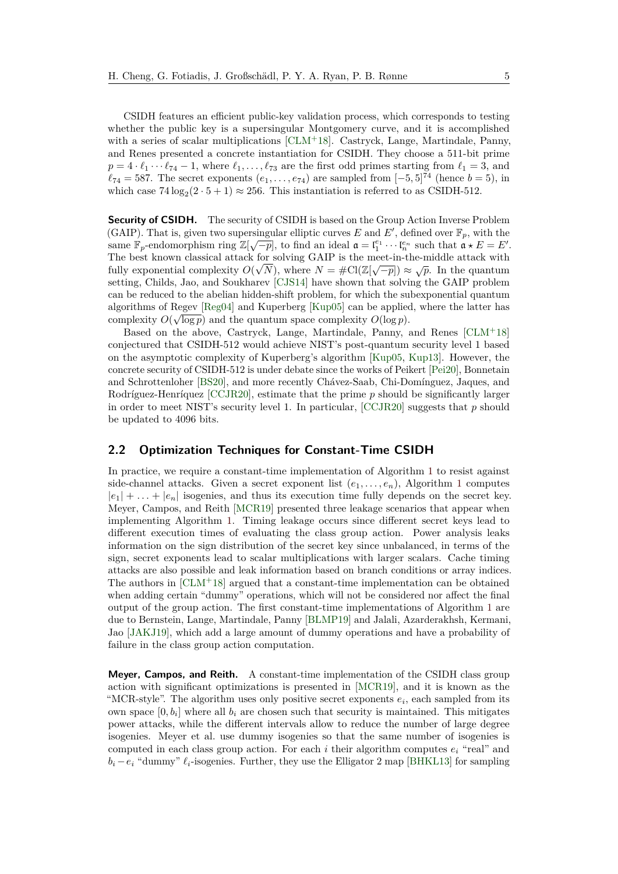CSIDH features an efficient public-key validation process, which corresponds to testing whether the public key is a supersingular Montgomery curve, and it is accomplished with a series of scalar multiplications [\[CLM](#page-24-2)<sup>+</sup>18]. Castryck, Lange, Martindale, Panny, and Renes presented a concrete instantiation for CSIDH. They choose a 511-bit prime  $p = 4 \cdot \ell_1 \cdots \ell_{74} - 1$ , where  $\ell_1, \ldots, \ell_{73}$  are the first odd primes starting from  $\ell_1 = 3$ , and  $\ell_{74} = 587$ . The secret exponents  $(e_1, \ldots, e_{74})$  are sampled from  $[-5, 5]^{74}$  (hence  $b = 5$ ), in which case  $74 \log_2(2 \cdot 5 + 1) \approx 256$ . This instantiation is referred to as CSIDH-512.

**Security of CSIDH.** The security of CSIDH is based on the Group Action Inverse Problem (GAIP). That is, given two supersingular elliptic curves *E* and *E'*, defined over  $\mathbb{F}_p$ , with the same  $\mathbb{F}_p$ -endomorphism ring  $\mathbb{Z}[\sqrt{-p}]$ , to find an ideal  $\mathfrak{a} = \mathfrak{l}_1^{e_1} \cdots \mathfrak{l}_n^{e_n}$  such that  $\mathfrak{a} \star E = E'$ . The best known classical attack for solving GAIP is the meet-in-the-middle attack with fully exponential complexity  $O(\sqrt{N})$ , where  $N = \#\text{Cl}(\mathbb{Z}[\sqrt{-p}]) \approx \sqrt{p}$ . In the quantum setting, Childs, Jao, and Soukharev [\[CJS14\]](#page-24-5) have shown that solving the GAIP problem can be reduced to the abelian hidden-shift problem, for which the subexponential quantum algorithms of Regev [\[Reg04\]](#page-26-3) and Kuperberg [\[Kup05\]](#page-25-4) can be applied, where the latter has complexity  $O(\sqrt{\log p})$  and the quantum space complexity  $O(\log p)$ .

Based on the above, Castryck, Lange, Martindale, Panny, and Renes [\[CLM](#page-24-2)<sup>+</sup>18] conjectured that CSIDH-512 would achieve NIST's post-quantum security level 1 based on the asymptotic complexity of Kuperberg's algorithm [\[Kup05,](#page-25-4) [Kup13\]](#page-25-5). However, the concrete security of CSIDH-512 is under debate since the works of Peikert [\[Pei20\]](#page-26-4), Bonnetain and Schrottenloher [\[BS20\]](#page-23-2), and more recently Chávez-Saab, Chi-Domínguez, Jaques, and Rodríguez-Henríquez [\[CCJR20\]](#page-24-6), estimate that the prime *p* should be significantly larger in order to meet NIST's security level 1. In particular, [\[CCJR20\]](#page-24-6) suggests that *p* should be updated to 4096 bits.

#### <span id="page-4-0"></span>**2.2 Optimization Techniques for Constant-Time CSIDH**

In practice, we require a constant-time implementation of Algorithm [1](#page-3-2) to resist against side-channel attacks. Given a secret exponent list  $(e_1, \ldots, e_n)$  $(e_1, \ldots, e_n)$  $(e_1, \ldots, e_n)$ , Algorithm 1 computes  $|e_1| + \ldots + |e_n|$  isogenies, and thus its execution time fully depends on the secret key. Meyer, Campos, and Reith [\[MCR19\]](#page-26-5) presented three leakage scenarios that appear when implementing Algorithm [1.](#page-3-2) Timing leakage occurs since different secret keys lead to different execution times of evaluating the class group action. Power analysis leaks information on the sign distribution of the secret key since unbalanced, in terms of the sign, secret exponents lead to scalar multiplications with larger scalars. Cache timing attacks are also possible and leak information based on branch conditions or array indices. The authors in  $\text{[CLM}^{+18]}$  $\text{[CLM}^{+18]}$  $\text{[CLM}^{+18]}$  argued that a constant-time implementation can be obtained when adding certain "dummy" operations, which will not be considered nor affect the final output of the group action. The first constant-time implementations of Algorithm [1](#page-3-2) are due to Bernstein, Lange, Martindale, Panny [\[BLMP19\]](#page-23-3) and Jalali, Azarderakhsh, Kermani, Jao [\[JAKJ19\]](#page-25-6), which add a large amount of dummy operations and have a probability of failure in the class group action computation.

**Meyer, Campos, and Reith.** A constant-time implementation of the CSIDH class group action with significant optimizations is presented in [\[MCR19\]](#page-26-5), and it is known as the "MCR-style". The algorithm uses only positive secret exponents  $e_i$ , each sampled from its own space  $[0, b_i]$  where all  $b_i$  are chosen such that security is maintained. This mitigates power attacks, while the different intervals allow to reduce the number of large degree isogenies. Meyer et al. use dummy isogenies so that the same number of isogenies is computed in each class group action. For each *i* their algorithm computes *e<sup>i</sup>* "real" and  $b_i - e_i$  "dummy"  $\ell_i$ -isogenies. Further, they use the Elligator 2 map [\[BHKL13\]](#page-23-4) for sampling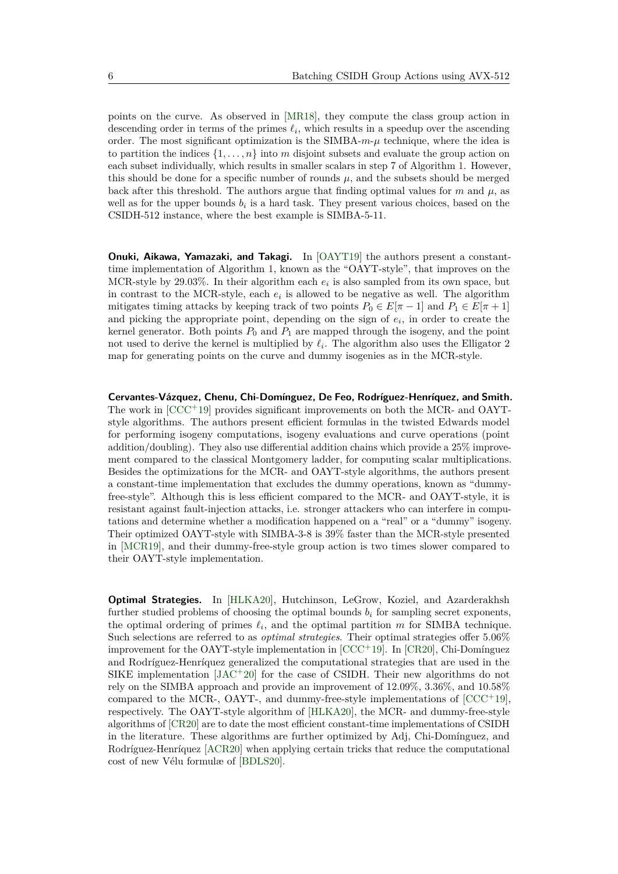points on the curve. As observed in [\[MR18\]](#page-26-6), they compute the class group action in descending order in terms of the primes  $\ell_i$ , which results in a speedup over the ascending order. The most significant optimization is the SIMBA- $m$ - $\mu$  technique, where the idea is to partition the indices  $\{1, \ldots, n\}$  into *m* disjoint subsets and evaluate the group action on each subset individually, which results in smaller scalars in step 7 of Algorithm [1.](#page-3-2) However, this should be done for a specific number of rounds *µ*, and the subsets should be merged back after this threshold. The authors argue that finding optimal values for  $m$  and  $\mu$ , as well as for the upper bounds  $b_i$  is a hard task. They present various choices, based on the CSIDH-512 instance, where the best example is SIMBA-5-11.

**Onuki, Aikawa, Yamazaki, and Takagi.** In [\[OAYT19\]](#page-26-7) the authors present a constanttime implementation of Algorithm [1,](#page-3-2) known as the "OAYT-style", that improves on the MCR-style by 29.03%. In their algorithm each  $e_i$  is also sampled from its own space, but in contrast to the MCR-style, each  $e_i$  is allowed to be negative as well. The algorithm mitigates timing attacks by keeping track of two points  $P_0 \in E[\pi - 1]$  and  $P_1 \in E[\pi + 1]$ and picking the appropriate point, depending on the sign of *e<sup>i</sup>* , in order to create the kernel generator. Both points  $P_0$  and  $P_1$  are mapped through the isogeny, and the point not used to derive the kernel is multiplied by  $\ell_i$ . The algorithm also uses the Elligator 2 map for generating points on the curve and dummy isogenies as in the MCR-style.

**Cervantes-Vázquez, Chenu, Chi-Domínguez, De Feo, Rodríguez-Henríquez, and Smith.** The work in  $[CCC+19]$  $[CCC+19]$  provides significant improvements on both the MCR- and OAYTstyle algorithms. The authors present efficient formulas in the twisted Edwards model for performing isogeny computations, isogeny evaluations and curve operations (point addition/doubling). They also use differential addition chains which provide a 25% improvement compared to the classical Montgomery ladder, for computing scalar multiplications. Besides the optimizations for the MCR- and OAYT-style algorithms, the authors present a constant-time implementation that excludes the dummy operations, known as "dummyfree-style". Although this is less efficient compared to the MCR- and OAYT-style, it is resistant against fault-injection attacks, i.e. stronger attackers who can interfere in computations and determine whether a modification happened on a "real" or a "dummy" isogeny. Their optimized OAYT-style with SIMBA-3-8 is 39% faster than the MCR-style presented in [\[MCR19\]](#page-26-5), and their dummy-free-style group action is two times slower compared to their OAYT-style implementation.

**Optimal Strategies.** In [\[HLKA20\]](#page-25-2), Hutchinson, LeGrow, Koziel, and Azarderakhsh further studied problems of choosing the optimal bounds  $b_i$  for sampling secret exponents, the optimal ordering of primes  $\ell_i$ , and the optimal partition  $m$  for SIMBA technique. Such selections are referred to as *optimal strategies*. Their optimal strategies offer 5.06% improvement for the OAYT-style implementation in  $[CCC<sup>+</sup>19]$  $[CCC<sup>+</sup>19]$ . In  $[CR20]$ , Chi-Domínguez and Rodríguez-Henríquez generalized the computational strategies that are used in the SIKE implementation  $[JAC^+20]$  $[JAC^+20]$  for the case of CSIDH. Their new algorithms do not rely on the SIMBA approach and provide an improvement of 12.09%, 3.36%, and 10.58% compared to the MCR-, OAYT-, and dummy-free-style implementations of  $[CCC<sup>+19</sup>]$  $[CCC<sup>+19</sup>]$ , respectively. The OAYT-style algorithm of [\[HLKA20\]](#page-25-2), the MCR- and dummy-free-style algorithms of [\[CR20\]](#page-24-7) are to date the most efficient constant-time implementations of CSIDH in the literature. These algorithms are further optimized by Adj, Chi-Domínguez, and Rodríguez-Henríquez [\[ACR20\]](#page-23-6) when applying certain tricks that reduce the computational cost of new Vélu formulæ of [\[BDLS20\]](#page-23-7).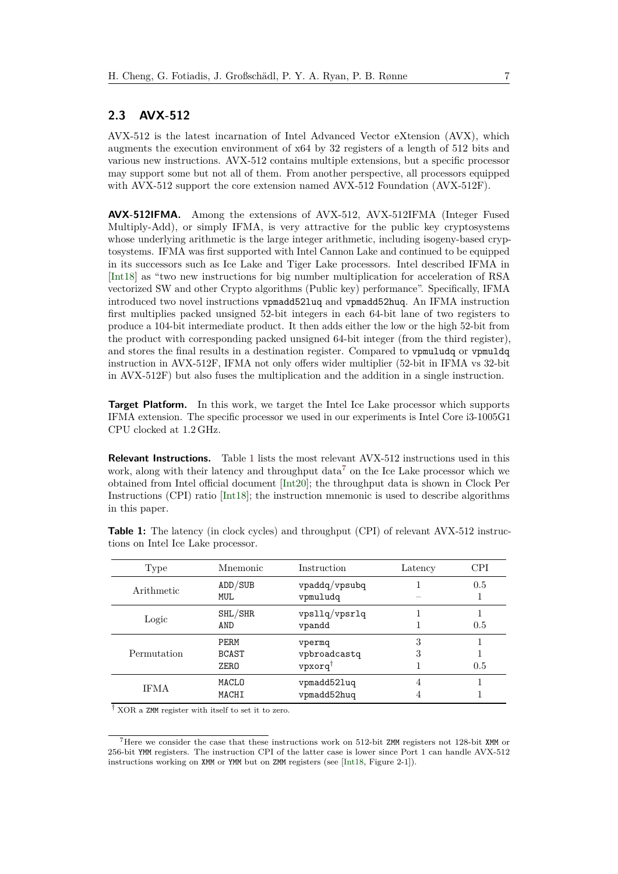### **2.3 AVX-512**

AVX-512 is the latest incarnation of Intel Advanced Vector eXtension (AVX), which augments the execution environment of x64 by 32 registers of a length of 512 bits and various new instructions. AVX-512 contains multiple extensions, but a specific processor may support some but not all of them. From another perspective, all processors equipped with AVX-512 support the core extension named AVX-512 Foundation (AVX-512F).

**AVX-512IFMA.** Among the extensions of AVX-512, AVX-512IFMA (Integer Fused Multiply-Add), or simply IFMA, is very attractive for the public key cryptosystems whose underlying arithmetic is the large integer arithmetic, including isogeny-based cryptosystems. IFMA was first supported with Intel Cannon Lake and continued to be equipped in its successors such as Ice Lake and Tiger Lake processors. Intel described IFMA in [\[Int18\]](#page-25-7) as "two new instructions for big number multiplication for acceleration of RSA vectorized SW and other Crypto algorithms (Public key) performance". Specifically, IFMA introduced two novel instructions vpmadd52luq and vpmadd52huq. An IFMA instruction first multiplies packed unsigned 52-bit integers in each 64-bit lane of two registers to produce a 104-bit intermediate product. It then adds either the low or the high 52-bit from the product with corresponding packed unsigned 64-bit integer (from the third register), and stores the final results in a destination register. Compared to vpmuludq or vpmuldq instruction in AVX-512F, IFMA not only offers wider multiplier (52-bit in IFMA vs 32-bit in AVX-512F) but also fuses the multiplication and the addition in a single instruction.

**Target Platform.** In this work, we target the Intel Ice Lake processor which supports IFMA extension. The specific processor we used in our experiments is Intel Core i3-1005G1 CPU clocked at 1*.*2 GHz.

**Relevant Instructions.** Table [1](#page-6-0) lists the most relevant AVX-512 instructions used in this work, along with their latency and throughput data<sup>[7](#page-6-1)</sup> on the Ice Lake processor which we obtained from Intel official document [\[Int20\]](#page-25-8); the throughput data is shown in Clock Per Instructions (CPI) ratio [\[Int18\]](#page-25-7); the instruction mnemonic is used to describe algorithms in this paper.

| Type        | Mnemonic                            | Instruction                                   | Latency | <b>CPI</b> |
|-------------|-------------------------------------|-----------------------------------------------|---------|------------|
| Arithmetic  | ADD/SUB<br>MUL.                     | vpaddq/vpsubq<br>vpmuludq                     |         | 0.5        |
| Logic       | SHL/SHR<br>AND                      | vpsllq/vpsrlq<br>vpandd                       |         | 0.5        |
| Permutation | PERM<br><b>BCAST</b><br><b>ZERO</b> | vpermq<br>vpbroadcastq<br>vpxorq <sup>t</sup> | 3<br>3  | 0.5        |
| IFMA        | MACLO<br>MACHI                      | vpmadd521uq<br>vpmadd52huq                    | 4<br>4  |            |

<span id="page-6-0"></span>**Table 1:** The latency (in clock cycles) and throughput (CPI) of relevant AVX-512 instructions on Intel Ice Lake processor.

† XOR a ZMM register with itself to set it to zero.

<span id="page-6-1"></span><sup>7</sup>Here we consider the case that these instructions work on 512-bit ZMM registers not 128-bit XMM or 256-bit YMM registers. The instruction CPI of the latter case is lower since Port 1 can handle AVX-512 instructions working on XMM or YMM but on ZMM registers (see [\[Int18,](#page-25-7) Figure 2-1]).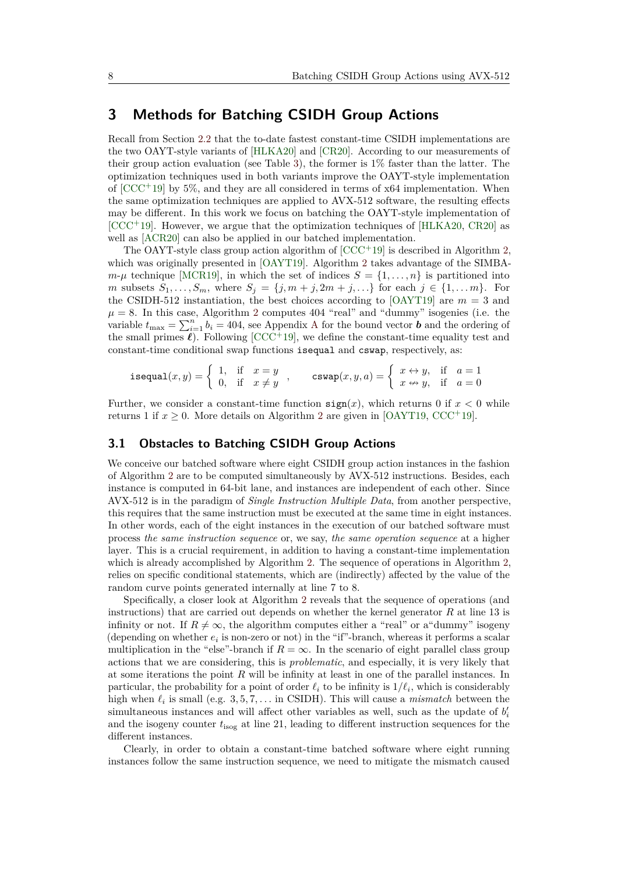# **3 Methods for Batching CSIDH Group Actions**

Recall from Section [2.2](#page-4-0) that the to-date fastest constant-time CSIDH implementations are the two OAYT-style variants of [\[HLKA20\]](#page-25-2) and [\[CR20\]](#page-24-7). According to our measurements of their group action evaluation (see Table [3\)](#page-20-0), the former is 1% faster than the latter. The optimization techniques used in both variants improve the OAYT-style implementation of  $[CCC+19]$  $[CCC+19]$  by 5%, and they are all considered in terms of x64 implementation. When the same optimization techniques are applied to AVX-512 software, the resulting effects may be different. In this work we focus on batching the OAYT-style implementation of  $[CCC<sup>+</sup>19]$  $[CCC<sup>+</sup>19]$ . However, we argue that the optimization techniques of  $[HLKA20, CR20]$  $[HLKA20, CR20]$  $[HLKA20, CR20]$  as well as [\[ACR20\]](#page-23-6) can also be applied in our batched implementation.

The OAYT-style class group action algorithm of  $[CCC<sup>+</sup>19]$  $[CCC<sup>+</sup>19]$  is described in Algorithm [2,](#page-8-0) which was originally presented in [\[OAYT19\]](#page-26-7). Algorithm [2](#page-8-0) takes advantage of the SIMBA $m-\mu$  technique [\[MCR19\]](#page-26-5), in which the set of indices  $S = \{1, \ldots, n\}$  is partitioned into *m* subsets  $S_1, ..., S_m$ , where  $S_j = \{j, m + j, 2m + j, ...\}$  for each  $j \in \{1, ..., m\}$ . For the CSIDH-512 instantiation, the best choices according to  $[OAYT19]$  are  $m = 3$  and  $\mu = 8$ . In this case, Algorithm [2](#page-8-0) computes 404 "real" and "dummy" isogenies (i.e. the variable  $t_{\text{max}} = \sum_{i=1}^{n} b_i = 404$ , see [A](#page-27-1)ppendix A for the bound vector *b* and the ordering of the small primes  $\ell$ ). Following [\[CCC](#page-23-5)<sup>+</sup>19], we define the constant-time equality test and constant-time conditional swap functions isequal and cswap, respectively, as:

$$
\mathtt{isequal}(x,y) = \left\{ \begin{array}{ll} 1, & \text{if} \quad x = y \\ 0, & \text{if} \quad x \neq y \end{array} \right. \right. \quad \mathtt{cswap}(x,y,a) = \left\{ \begin{array}{ll} x \leftrightarrow y, & \text{if} \quad a = 1 \\ x \leftrightarrow y, & \text{if} \quad a = 0 \end{array} \right.
$$

Further, we consider a constant-time function  $\text{sign}(x)$ , which returns 0 if  $x < 0$  while returns 1 if  $x \geq 0$ . More details on Algorithm [2](#page-8-0) are given in [\[OAYT19,](#page-26-7) [CCC](#page-23-5)<sup>+</sup>19].

#### <span id="page-7-0"></span>**3.1 Obstacles to Batching CSIDH Group Actions**

We conceive our batched software where eight CSIDH group action instances in the fashion of Algorithm [2](#page-8-0) are to be computed simultaneously by AVX-512 instructions. Besides, each instance is computed in 64-bit lane, and instances are independent of each other. Since AVX-512 is in the paradigm of *Single Instruction Multiple Data*, from another perspective, this requires that the same instruction must be executed at the same time in eight instances. In other words, each of the eight instances in the execution of our batched software must process *the same instruction sequence* or, we say, *the same operation sequence* at a higher layer. This is a crucial requirement, in addition to having a constant-time implementation which is already accomplished by Algorithm [2.](#page-8-0) The sequence of operations in Algorithm [2,](#page-8-0) relies on specific conditional statements, which are (indirectly) affected by the value of the random curve points generated internally at line 7 to 8.

Specifically, a closer look at Algorithm [2](#page-8-0) reveals that the sequence of operations (and instructions) that are carried out depends on whether the kernel generator *R* at line 13 is infinity or not. If  $R \neq \infty$ , the algorithm computes either a "real" or a "dummy" isogeny (depending on whether  $e_i$  is non-zero or not) in the "if"-branch, whereas it performs a scalar multiplication in the "else"-branch if  $R = \infty$ . In the scenario of eight parallel class group actions that we are considering, this is *problematic*, and especially, it is very likely that at some iterations the point *R* will be infinity at least in one of the parallel instances. In particular, the probability for a point of order  $\ell_i$  to be infinity is  $1/\ell_i$ , which is considerably high when  $\ell_i$  is small (e.g.  $3, 5, 7, \ldots$  in CSIDH). This will cause a *mismatch* between the simultaneous instances and will affect other variables as well, such as the update of  $b_i'$ and the isogeny counter  $t_{\text{isop}}$  at line 21, leading to different instruction sequences for the different instances.

Clearly, in order to obtain a constant-time batched software where eight running instances follow the same instruction sequence, we need to mitigate the mismatch caused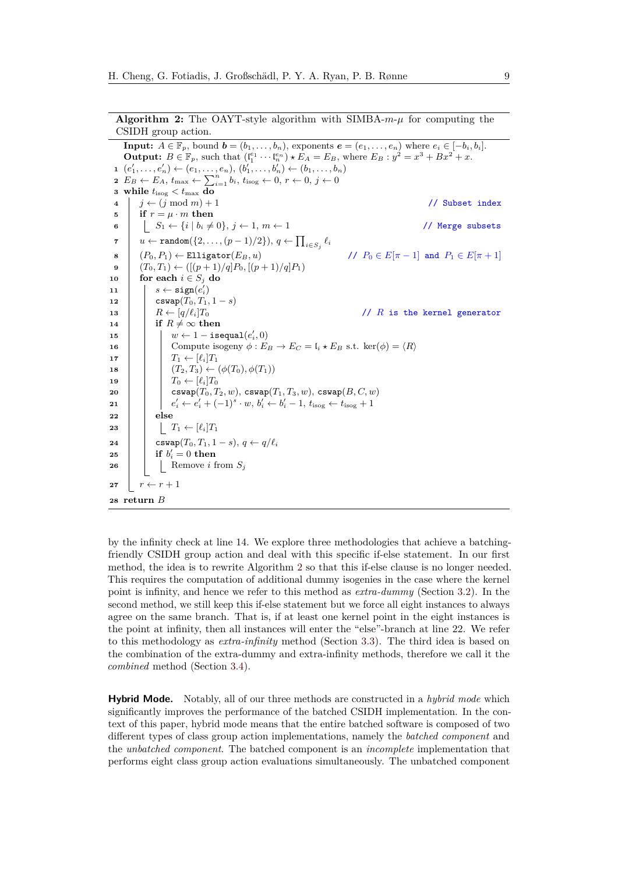**Algorithm 2:** The OAYT-style algorithm with SIMBA-*m*-*µ* for computing the CSIDH group action.

**Input:**  $A \in \mathbb{F}_p$ , bound  $\boldsymbol{b} = (b_1, \ldots, b_n)$ , exponents  $\boldsymbol{e} = (e_1, \ldots, e_n)$  where  $e_i \in [-b_i, b_i]$ . **Output:**  $B \in \mathbb{F}_p$ , such that  $(\mathfrak{l}_1^{e_1} \cdots \mathfrak{l}_n^{e_n}) \star E_A = E_B$ , where  $E_B : y^2 = x^3 + Bx^2 + x$ .  $\mathbf{1} \left( e'_1, \ldots, e'_n \right) \leftarrow (e_1, \ldots, e_n), \, (b'_1, \ldots, b'_n) \leftarrow (b_1, \ldots, b_n)$ **2**  $E_B \leftarrow E_A$ ,  $t_{\text{max}} \leftarrow \sum_{i=1}^n b_i$ ,  $t_{\text{isog}} \leftarrow 0$ ,  $r \leftarrow 0$ ,  $j \leftarrow 0$ **3 while**  $t_{\text{isog}} < t_{\text{max}}$  **do 4**  $j \leftarrow (j \mod m) + 1$  // Subset index  $\mathbf{5}$  **if**  $r = \mu \cdot m$  then **6**  $\begin{array}{c} | & | & S_1 \leftarrow \{i \mid b_i \neq 0\}, j \leftarrow 1, m \leftarrow 1 \end{array}$  // Merge subsets  $\tau$   $u \leftarrow \texttt{random}(\{2,\ldots,(p-1)/2\}),\, q \leftarrow \prod_{i \in S_j} \ell_i$ **8**  $(P_0, P_1) \leftarrow \text{Elligator}(E_B, u)$  //  $P_0 \in E[\pi - 1]$  and  $P_1 \in E[\pi + 1]$ **9**  $\left[ (T_0, T_1) \leftarrow \left( \left[ (p+1)/q \right] P_0, \left[ (p+1)/q \right] P_1 \right) \right]$ **10 for each**  $i \in S_j$  **do**  $\begin{array}{|c|c|c|c|c|}\n\hline\n11 & | & s \leftarrow \mathtt{sign}(e'_i)\n\end{array}$ 12 cswap $(T_0, T_1, 1-s)$ **13 a**  $R \leftarrow [q/\ell_i]T_0$  // *R* is the kernel generator **14 if**  $R \neq \infty$  **then**  $\begin{array}{|c|c|c|c|}\hline \textbf{15} & w \leftarrow 1-\texttt{isequal}(e'_i,0) \hline \end{array}$ **16** Compute isogeny  $\phi$  :  $E_B \rightarrow E_C = \mathfrak{l}_i \star E_B$  s.t. ker $(\phi) = \langle R \rangle$ **17 T**<sub>1</sub> ←  $[\ell_i]T_1$ **18**  $(T_2, T_3) \leftarrow (\phi(T_0), \phi(T_1))$ **19 T**<sub>0</sub> ←  $[\ell_i]T_0$ **20 cswap** $(T_0, T_2, w)$ , cswap $(T_1, T_3, w)$ , cswap $(B, C, w)$ **<sup>21</sup>** *e*  $b'_i$  ←  $e'_i$  +  $(-1)^s \cdot w$ ,  $b'_i$  ←  $b'_i$  − 1,  $t_{\text{isog}}$  ←  $t_{\text{isog}}$  + 1 **<sup>22</sup> else 23 T**<sub>1</sub> ←  $[\ell_i]T_1$ **24** cswap $(T_0, T_1, 1 - s), q \leftarrow q/\ell_i$  $\mathbf{25}$   $\mathbf{i} \mathbf{f}$   $b_i' = 0$  then **26** Remove *i* from  $S_i$ **27**  $r \leftarrow r+1$ **<sup>28</sup> return** *B*

<span id="page-8-0"></span>by the infinity check at line 14. We explore three methodologies that achieve a batchingfriendly CSIDH group action and deal with this specific if-else statement. In our first method, the idea is to rewrite Algorithm [2](#page-8-0) so that this if-else clause is no longer needed. This requires the computation of additional dummy isogenies in the case where the kernel point is infinity, and hence we refer to this method as *extra-dummy* (Section [3.2\)](#page-9-0). In the second method, we still keep this if-else statement but we force all eight instances to always agree on the same branch. That is, if at least one kernel point in the eight instances is the point at infinity, then all instances will enter the "else"-branch at line 22. We refer to this methodology as *extra-infinity* method (Section [3.3\)](#page-11-0). The third idea is based on the combination of the extra-dummy and extra-infinity methods, therefore we call it the *combined* method (Section [3.4\)](#page-12-0).

**Hybrid Mode.** Notably, all of our three methods are constructed in a *hybrid mode* which significantly improves the performance of the batched CSIDH implementation. In the context of this paper, hybrid mode means that the entire batched software is composed of two different types of class group action implementations, namely the *batched component* and the *unbatched component*. The batched component is an *incomplete* implementation that performs eight class group action evaluations simultaneously. The unbatched component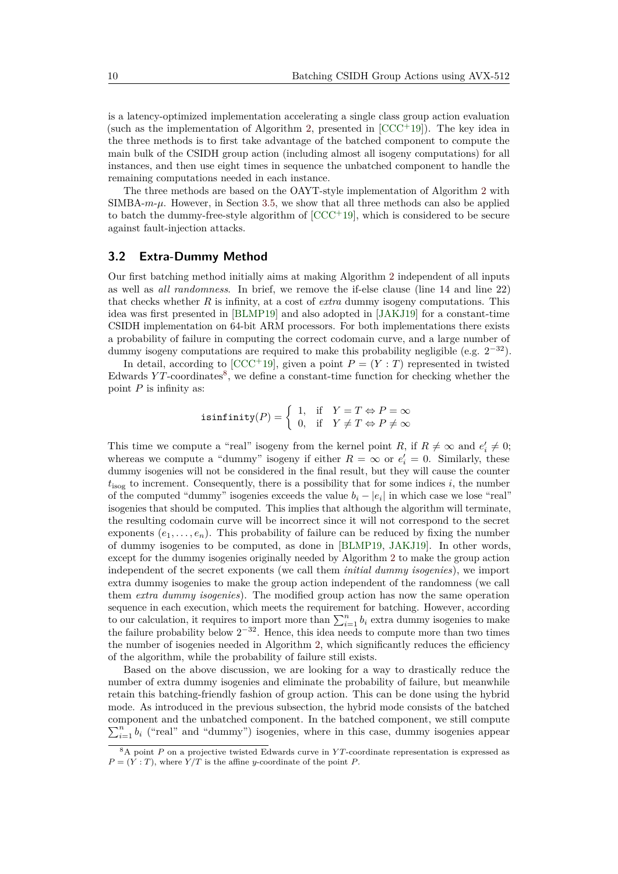is a latency-optimized implementation accelerating a single class group action evaluation (such as the implementation of Algorithm [2,](#page-8-0) presented in  $[CCC+19]$  $[CCC+19]$ ). The key idea in the three methods is to first take advantage of the batched component to compute the main bulk of the CSIDH group action (including almost all isogeny computations) for all instances, and then use eight times in sequence the unbatched component to handle the remaining computations needed in each instance.

The three methods are based on the OAYT-style implementation of Algorithm [2](#page-8-0) with SIMBA- $m$ - $\mu$ . However, in Section [3.5,](#page-13-0) we show that all three methods can also be applied to batch the dummy-free-style algorithm of  $[CCC<sup>+</sup>19]$  $[CCC<sup>+</sup>19]$ , which is considered to be secure against fault-injection attacks.

### <span id="page-9-0"></span>**3.2 Extra-Dummy Method**

Our first batching method initially aims at making Algorithm [2](#page-8-0) independent of all inputs as well as *all randomness*. In brief, we remove the if-else clause (line 14 and line 22) that checks whether *R* is infinity, at a cost of *extra* dummy isogeny computations. This idea was first presented in [\[BLMP19\]](#page-23-3) and also adopted in [\[JAKJ19\]](#page-25-6) for a constant-time CSIDH implementation on 64-bit ARM processors. For both implementations there exists a probability of failure in computing the correct codomain curve, and a large number of dummy isogeny computations are required to make this probability negligible (e.g.  $2^{-32}$ ).

In detail, according to  $[CCC^+19]$  $[CCC^+19]$ , given a point  $P = (Y : T)$  represented in twisted Edwards YT-coordinates<sup>[8](#page-9-1)</sup>, we define a constant-time function for checking whether the point *P* is infinity as:

$$
\text{isinfinity}(P) = \left\{ \begin{array}{ll} 1, & \text{if} \quad Y = T \Leftrightarrow P = \infty \\ 0, & \text{if} \quad Y \neq T \Leftrightarrow P \neq \infty \end{array} \right.
$$

This time we compute a "real" isogeny from the kernel point *R*, if  $R \neq \infty$  and  $e'_i \neq 0$ ; whereas we compute a "dummy" isogeny if either  $R = \infty$  or  $e'_i = 0$ . Similarly, these dummy isogenies will not be considered in the final result, but they will cause the counter  $t_{\text{isog}}$  to increment. Consequently, there is a possibility that for some indices  $i$ , the number of the computed "dummy" isogenies exceeds the value  $b_i - |e_i|$  in which case we lose "real" isogenies that should be computed. This implies that although the algorithm will terminate, the resulting codomain curve will be incorrect since it will not correspond to the secret exponents  $(e_1, \ldots, e_n)$ . This probability of failure can be reduced by fixing the number of dummy isogenies to be computed, as done in [\[BLMP19,](#page-23-3) [JAKJ19\]](#page-25-6). In other words, except for the dummy isogenies originally needed by Algorithm [2](#page-8-0) to make the group action independent of the secret exponents (we call them *initial dummy isogenies*), we import extra dummy isogenies to make the group action independent of the randomness (we call them *extra dummy isogenies*). The modified group action has now the same operation sequence in each execution, which meets the requirement for batching. However, according to our calculation, it requires to import more than  $\sum_{i=1}^{n} b_i$  extra dummy isogenies to make the failure probability below  $2^{-32}$ . Hence, this idea needs to compute more than two times the number of isogenies needed in Algorithm [2,](#page-8-0) which significantly reduces the efficiency of the algorithm, while the probability of failure still exists.

Based on the above discussion, we are looking for a way to drastically reduce the number of extra dummy isogenies and eliminate the probability of failure, but meanwhile retain this batching-friendly fashion of group action. This can be done using the hybrid mode. As introduced in the previous subsection, the hybrid mode consists of the batched component and the unbatched component. In the batched component, we still compute  $\sum_{i=1}^{n}$  *b*<sub>*i*</sub> ("real" and "dummy") isogenies, where in this case, dummy isogenies appear

<span id="page-9-1"></span><sup>8</sup>A point *P* on a projective twisted Edwards curve in *Y T*-coordinate representation is expressed as  $P = (Y : T)$ , where  $Y/T$  is the affine *y*-coordinate of the point *P*.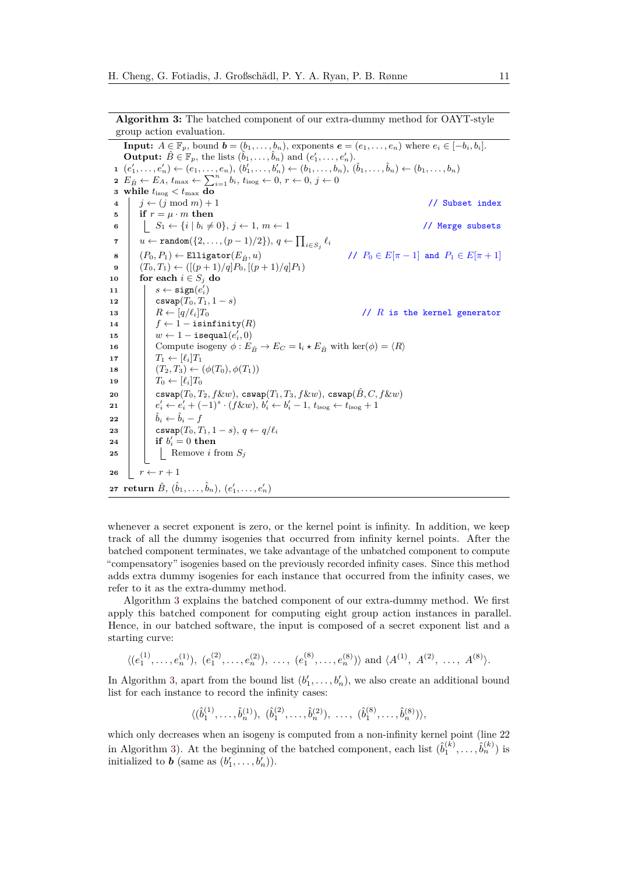**Algorithm 3:** The batched component of our extra-dummy method for OAYT-style group action evaluation.

**Input:**  $A \in \mathbb{F}_p$ , bound  $\boldsymbol{b} = (b_1, \ldots, b_n)$ , exponents  $\boldsymbol{e} = (e_1, \ldots, e_n)$  where  $e_i \in [-b_i, b_i]$ . **Output:**  $\hat{B} \in \mathbb{F}_p$ , the lists  $(\hat{b}_1, \ldots, \hat{b}_n)$  and  $(e'_1, \ldots, e'_n)$ .  $1\;\; (e'_1,\ldots,e'_n) \leftarrow (e_1,\ldots,e_n),\; (b'_1,\ldots,b'_n) \leftarrow (b_1,\ldots,b_n),\; (\hat{b}_1,\ldots,\hat{b}_n) \leftarrow (b_1,\ldots,b_n)$   $E_{\hat{B}} \leftarrow E_A$ ,  $t_{\text{max}} \leftarrow \sum_{i=1}^n b_i$ ,  $t_{\text{isog}} \leftarrow 0$ ,  $r \leftarrow 0$ ,  $j \leftarrow 0$  **while**  $t_{\text{isog}} < t_{\text{max}}$  **do**   $j \leftarrow (j \mod m) + 1$  // Subset index  $\mathbf{5}$  **if**  $r = \mu \cdot m$  then  $\begin{array}{c} | & | & S_1 \leftarrow \{i \mid b_i \neq 0\}, j \leftarrow 1, m \leftarrow 1 \end{array}$  // Merge subsets  $\tau$   $u \leftarrow \texttt{random}(\{2,\ldots,(p-1)/2\}),\, q \leftarrow \prod_{i \in S_j} \ell_i$   $(P_0, P_1) \leftarrow \text{Elligator}(E_{\hat{B}}, u)$  //  $P_0 \in E[\pi - 1]$  and  $P_1 \in E[\pi + 1]$   $\left[ (T_0, T_1) \leftarrow \left( \left[ (p+1)/q \right] P_0, \left[ (p+1)/q \right] P_1 \right) \right]$ **for each**  $i \in S_j$  **do**  $\begin{array}{|c|c|c|c|c|}\n\hline\n11 & | & s \leftarrow \mathtt{sign}(e'_i)\n\end{array}$ 12 cswap $(T_0, T_1, 1-s)$  **a**  $R \leftarrow [q/\ell_i]T_0$  // *R* is the kernel generator **f** ← 1 – isinfinity(*R*)  $w \leftarrow 1 - \texttt{isequal}(e'_i, 0)$  Compute isogeny  $\phi : E_{\hat{B}} \to E_C = \mathfrak{l}_i \star E_{\hat{B}}$  with ker $(\phi) = \langle R \rangle$ <br>**17**  $\left\{ \begin{array}{c} T_1 \leftarrow [\ell_i] T_1 \end{array} \right\}$  $T_1 \leftarrow [\ell_i]T_1$   $(T_2, T_3) \leftarrow (\phi(T_0), \phi(T_1))$   $T_0 \leftarrow [\ell_i] T_0$  cswap( $T_0, T_2, f\&w$ ), cswap( $T_1, T_3, f\&w$ ), cswap( $\hat{B}, C, f\&w$ )  $e'_i \leftarrow e'_i + (-1)^s \cdot (f \& w), b'_i \leftarrow b'_i - 1, t_{\text{isog}} \leftarrow t_{\text{isog}} + 1$  **a**  $\hat{b}_i \leftarrow \hat{b}_i - f$  cswap $(T_0, T_1, 1 - s), q \leftarrow q/\ell_i$  $\mathbf{24}$   $\mathbf{i} \mathbf{f}$   $b_i' = 0$  then  $\vert$   $\vert$  Remove *i* from  $S_j$  $r \leftarrow r+1$  ${\bf z}$ **7**  ${\bf return} \; \hat{B}, \; (\hat{b}_1, \ldots, \hat{b}_n), \; (e'_1, \ldots, e'_n)$ 

<span id="page-10-0"></span>whenever a secret exponent is zero, or the kernel point is infinity. In addition, we keep track of all the dummy isogenies that occurred from infinity kernel points. After the batched component terminates, we take advantage of the unbatched component to compute "compensatory" isogenies based on the previously recorded infinity cases. Since this method adds extra dummy isogenies for each instance that occurred from the infinity cases, we refer to it as the extra-dummy method.

Algorithm [3](#page-10-0) explains the batched component of our extra-dummy method. We first apply this batched component for computing eight group action instances in parallel. Hence, in our batched software, the input is composed of a secret exponent list and a starting curve:

$$
\langle (e_1^{(1)}, \ldots, e_n^{(1)}), (e_1^{(2)}, \ldots, e_n^{(2)}), \ldots, (e_1^{(8)}, \ldots, e_n^{(8)}) \rangle
$$
 and  $\langle A^{(1)}, A^{(2)}, \ldots, A^{(8)} \rangle$ .

In Algorithm [3,](#page-10-0) apart from the bound list  $(b'_1, \ldots, b'_n)$ , we also create an additional bound list for each instance to record the infinity cases:

$$
\langle (\hat{b}_1^{(1)}, \ldots, \hat{b}_n^{(1)}), \; (\hat{b}_1^{(2)}, \ldots, \hat{b}_n^{(2)}), \; \ldots, \; (\hat{b}_1^{(8)}, \ldots, \hat{b}_n^{(8)}) \rangle,
$$

which only decreases when an isogeny is computed from a non-infinity kernel point (line 22) in Algorithm [3\)](#page-10-0). At the beginning of the batched component, each list  $(\hat{b}_1^{(k)}, \ldots, \hat{b}_n^{(k)})$  is initialized to *b* (same as  $(b'_1, \ldots, b'_n)$ ).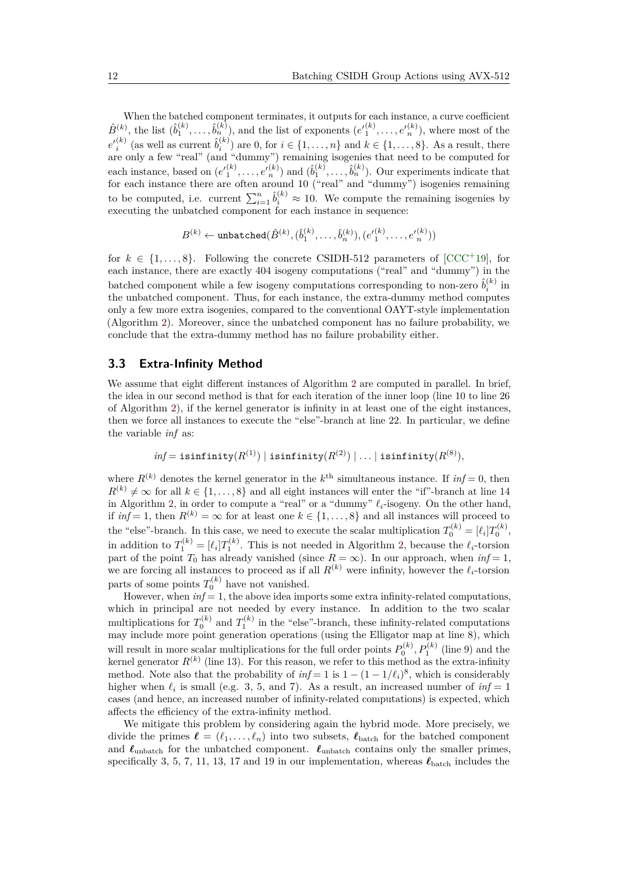When the batched component terminates, it outputs for each instance, a curve coefficient  $\hat{B}^{(k)}$ , the list  $(\hat{b}_1^{(k)},\ldots,\hat{b}_n^{(k)})$ , and the list of exponents  $(e'_1^{(k)},\ldots,e'_n^{(k)})$ , where most of the  $e'_{i}^{(k)}$  (as well as current  $\hat{b}_{i}^{(k)}$ ) are 0, for  $i \in \{1, ..., n\}$  and  $k \in \{1, ..., 8\}$ . As a result, there are only a few "real" (and "dummy") remaining isogenies that need to be computed for each instance, based on  $(e'_{1}^{(k)},...,e'_{n}^{(k)})$  and  $(\hat{b}_{1}^{(k)},..., \hat{b}_{n}^{(k)})$ . Our experiments indicate that for each instance there are often around 10 ("real" and "dummy") isogenies remaining to be computed, i.e. current  $\sum_{i=1}^{n} \hat{b}_i^{(k)} \approx 10$ . We compute the remaining isogenies by executing the unbatched component for each instance in sequence:

$$
B^{(k)} \leftarrow \mathtt{unbatched}(\hat{B}^{(k)}, (\hat{b}^{(k)}_1, \ldots, \hat{b}^{(k)}_n), (e^{\prime(k)}_1, \ldots, e^{\prime(k)}_n))
$$

for  $k \in \{1, \ldots, 8\}$ . Following the concrete CSIDH-512 parameters of  $[CCC^+19]$  $[CCC^+19]$ , for each instance, there are exactly 404 isogeny computations ("real" and "dummy") in the batched component while a few isogeny computations corresponding to non-zero  $\hat{b}_i^{(k)}$  in the unbatched component. Thus, for each instance, the extra-dummy method computes only a few more extra isogenies, compared to the conventional OAYT-style implementation (Algorithm [2\)](#page-8-0). Moreover, since the unbatched component has no failure probability, we conclude that the extra-dummy method has no failure probability either.

### <span id="page-11-0"></span>**3.3 Extra-Infinity Method**

We assume that eight different instances of Algorithm [2](#page-8-0) are computed in parallel. In brief, the idea in our second method is that for each iteration of the inner loop (line 10 to line 26 of Algorithm [2\)](#page-8-0), if the kernel generator is infinity in at least one of the eight instances, then we force all instances to execute the "else"-branch at line 22. In particular, we define the variable *inf* as:

$$
\mathit{inf} = \mathtt{isinfinity}(R^{(1)}) \mid \mathtt{isinfinity}(R^{(2)}) \mid \ldots \mid \mathtt{isinfinity}(R^{(8)}),
$$

where  $R^{(k)}$  denotes the kernel generator in the  $k^{\text{th}}$  simultaneous instance. If  $inf = 0$ , then  $R^{(k)} \neq \infty$  for all  $k \in \{1, \ldots, 8\}$  and all eight instances will enter the "if"-branch at line 14 in Algorithm [2,](#page-8-0) in order to compute a "real" or a "dummy"  $\ell_i$ -isogeny. On the other hand, if  $inf=1$ , then  $R^{(k)} = \infty$  for at least one  $k \in \{1, \ldots, 8\}$  and all instances will proceed to the "else"-branch. In this case, we need to execute the scalar multiplication  $T_0^{(k)} = [\ell_i] T_0^{(k)}$ , in addition to  $T_1^{(k)} = [\ell_i] T_1^{(k)}$ . This is not needed in Algorithm [2,](#page-8-0) because the  $\ell_i$ -torsion part of the point  $T_0$  has already vanished (since  $R = \infty$ ). In our approach, when  $\inf = 1$ , we are forcing all instances to proceed as if all  $R^{(k)}$  were infinity, however the  $\ell_i$ -torsion parts of some points  $T_0^{(k)}$  have not vanished.

However, when  $inf = 1$ , the above idea imports some extra infinity-related computations, which in principal are not needed by every instance. In addition to the two scalar multiplications for  $T_0^{(k)}$  and  $T_1^{(k)}$  in the "else"-branch, these infinity-related computations may include more point generation operations (using the Elligator map at line  $\hat{8}$ ), which will result in more scalar multiplications for the full order points  $P_0^{(k)}$ ,  $P_1^{(k)}$  (line 9) and the kernel generator  $R^{(k)}$  (line 13). For this reason, we refer to this method as the extra-infinity method. Note also that the probability of  $\inf = 1$  is  $1 - (1 - 1/\ell_i)^8$ , which is considerably higher when  $\ell_i$  is small (e.g. 3, 5, and 7). As a result, an increased number of  $inf = 1$ cases (and hence, an increased number of infinity-related computations) is expected, which affects the efficiency of the extra-infinity method.

We mitigate this problem by considering again the hybrid mode. More precisely, we divide the primes  $\ell = (\ell_1, \ldots, \ell_n)$  into two subsets,  $\ell_{\text{batch}}$  for the batched component and  $\ell_{\text{unbatch}}$  for the unbatched component.  $\ell_{\text{unbatch}}$  contains only the smaller primes, specifically 3, 5, 7, 11, 13, 17 and 19 in our implementation, whereas  $\ell_{\rm batch}$  includes the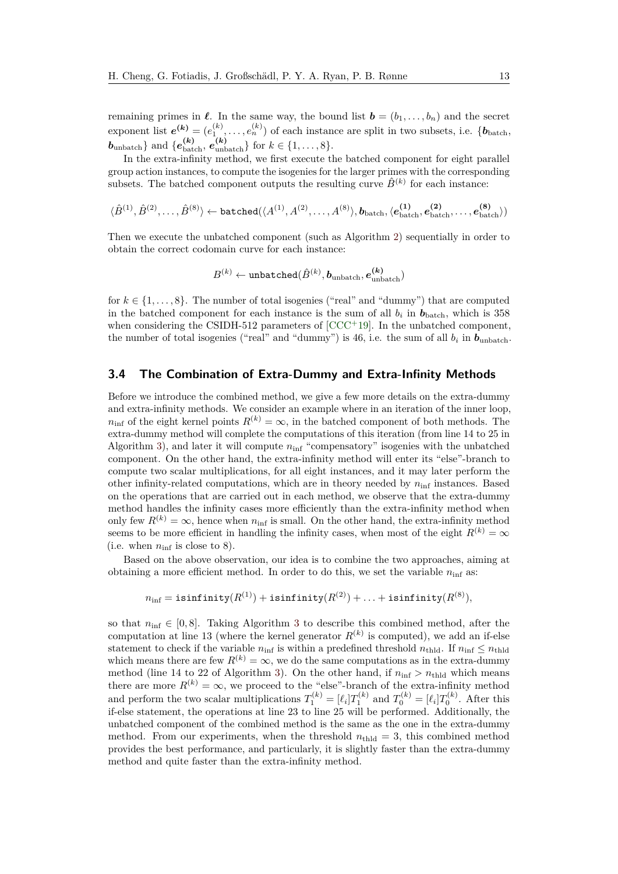remaining primes in  $\ell$ . In the same way, the bound list  $\mathbf{b} = (b_1, \ldots, b_n)$  and the secret exponent list  $e^{(k)} = (e_1^{(k)}, \ldots, e_n^{(k)})$  of each instance are split in two subsets, i.e.  $\{b_{\text{batch}},$  $\boldsymbol{b}_{\text{unbatch}}\}$  and  $\{\boldsymbol{e}_{\text{batch}}^{(k)}, \boldsymbol{e}_{\text{unbatch}}^{(k)}\}$  for  $k \in \{1, \ldots, 8\}$ .

In the extra-infinity method, we first execute the batched component for eight parallel group action instances, to compute the isogenies for the larger primes with the corresponding subsets. The batched component outputs the resulting curve  $\hat{B}^{(k)}$  for each instance:

$$
\langle \hat{B}^{(1)}, \hat{B}^{(2)}, \ldots, \hat{B}^{(8)}\rangle \gets \texttt{batched}(\langle A^{(1)}, A^{(2)}, \ldots, A^{(8)}\rangle, \textcolor{blue}{b_{\text{batch}}}, \langle e_{\text{batch}}^{(1)}, e_{\text{batch}}^{(2)}, \ldots, e_{\text{batch}}^{(8)}\rangle)
$$

Then we execute the unbatched component (such as Algorithm [2\)](#page-8-0) sequentially in order to obtain the correct codomain curve for each instance:

$$
B^{(k)} \leftarrow \texttt{unbatched}(\hat{B}^{(k)}, \boldsymbol{b}_{\text{unbatch}}, \boldsymbol{e}^{(\boldsymbol{k})}_{\text{unbatch}})
$$

for  $k \in \{1, \ldots, 8\}$ . The number of total isogenies ("real" and "dummy") that are computed in the batched component for each instance is the sum of all  $b_i$  in  $b_{\text{batch}}$ , which is 358 when considering the CSIDH-512 parameters of  $[CCC+19]$  $[CCC+19]$ . In the unbatched component, the number of total isogenies ("real" and "dummy") is 46, i.e. the sum of all  $b_i$  in  $b_{\text{unbatch}}$ .

#### <span id="page-12-0"></span>**3.4 The Combination of Extra-Dummy and Extra-Infinity Methods**

Before we introduce the combined method, we give a few more details on the extra-dummy and extra-infinity methods. We consider an example where in an iteration of the inner loop,  $n_{\text{inf}}$  of the eight kernel points  $R^{(k)} = \infty$ , in the batched component of both methods. The extra-dummy method will complete the computations of this iteration (from line 14 to 25 in Algorithm [3\)](#page-10-0), and later it will compute  $n_{\text{inf}}$  "compensatory" isogenies with the unbatched component. On the other hand, the extra-infinity method will enter its "else"-branch to compute two scalar multiplications, for all eight instances, and it may later perform the other infinity-related computations, which are in theory needed by  $n_{\text{inf}}$  instances. Based on the operations that are carried out in each method, we observe that the extra-dummy method handles the infinity cases more efficiently than the extra-infinity method when only few  $R^{(k)} = \infty$ , hence when  $n_{\text{inf}}$  is small. On the other hand, the extra-infinity method seems to be more efficient in handling the infinity cases, when most of the eight  $R^{(k)} = \infty$ (i.e. when  $n_{\text{inf}}$  is close to 8).

Based on the above observation, our idea is to combine the two approaches, aiming at obtaining a more efficient method. In order to do this, we set the variable  $n_{\text{inf}}$  as:

$$
n_{\text{inf}} = \text{isinfinity}(R^{(1)}) + \text{isinfinity}(R^{(2)}) + \ldots + \text{isinfinity}(R^{(8)}),
$$

so that  $n_{\text{inf}} \in [0,8]$ . Taking Algorithm [3](#page-10-0) to describe this combined method, after the computation at line 13 (where the kernel generator  $R^{(k)}$  is computed), we add an if-else statement to check if the variable  $n_{\text{inf}}$  is within a predefined threshold  $n_{\text{thld}}$ . If  $n_{\text{inf}} \leq n_{\text{thld}}$ which means there are few  $R^{(k)} = \infty$ , we do the same computations as in the extra-dummy method (line 14 to 22 of Algorithm [3\)](#page-10-0). On the other hand, if  $n_{\text{inf}} > n_{\text{thld}}$  which means there are more  $R^{(k)} = \infty$ , we proceed to the "else"-branch of the extra-infinity method and perform the two scalar multiplications  $T_1^{(k)} = [\ell_i] T_1^{(k)}$  and  $T_0^{(k)} = [\ell_i] T_0^{(k)}$ . After this if-else statement, the operations at line 23 to line 25 will be performed. Additionally, the unbatched component of the combined method is the same as the one in the extra-dummy method. From our experiments, when the threshold  $n_{\text{thld}} = 3$ , this combined method provides the best performance, and particularly, it is slightly faster than the extra-dummy method and quite faster than the extra-infinity method.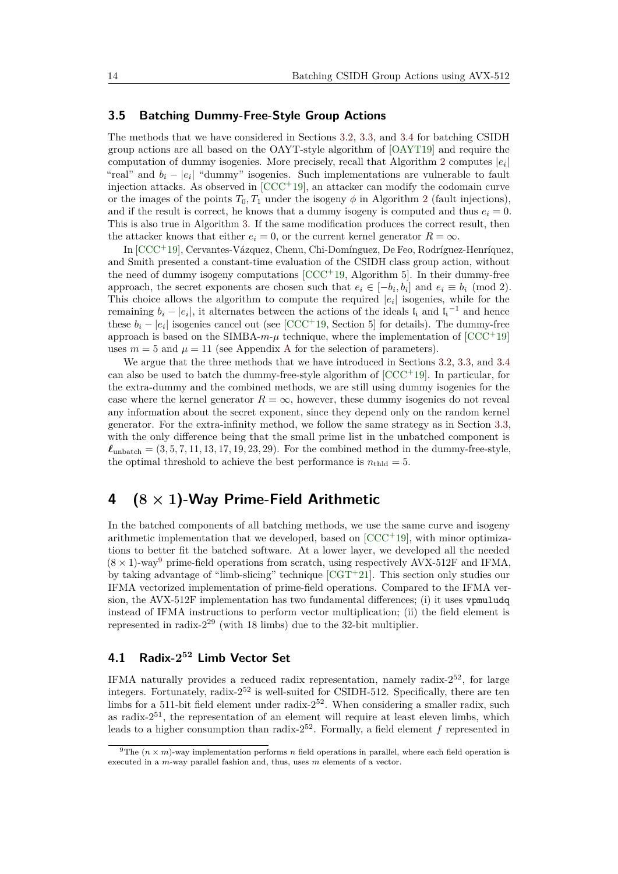#### <span id="page-13-0"></span>**3.5 Batching Dummy-Free-Style Group Actions**

The methods that we have considered in Sections [3.2,](#page-9-0) [3.3,](#page-11-0) and [3.4](#page-12-0) for batching CSIDH group actions are all based on the OAYT-style algorithm of [\[OAYT19\]](#page-26-7) and require the computation of dummy isogenies. More precisely, recall that Algorithm [2](#page-8-0) computes |*e<sup>i</sup>* | "real" and  $b_i - |e_i|$  "dummy" isogenies. Such implementations are vulnerable to fault injection attacks. As observed in  $[CCC+19]$  $[CCC+19]$ , an attacker can modify the codomain curve or the images of the points  $T_0, T_1$  under the isogeny  $\phi$  in Algorithm [2](#page-8-0) (fault injections), and if the result is correct, he knows that a dummy isogeny is computed and thus  $e_i = 0$ . This is also true in Algorithm [3.](#page-10-0) If the same modification produces the correct result, then the attacker knows that either  $e_i = 0$ , or the current kernel generator  $R = \infty$ .

In [\[CCC](#page-23-5)<sup>+</sup>19], Cervantes-Vázquez, Chenu, Chi-Domínguez, De Feo, Rodríguez-Henríquez, and Smith presented a constant-time evaluation of the CSIDH class group action, without the need of dummy isogeny computations  $[CCC+19,$  $[CCC+19,$  Algorithm 5]. In their dummy-free approach, the secret exponents are chosen such that  $e_i \in [-b_i, b_i]$  and  $e_i \equiv b_i \pmod{2}$ . This choice allows the algorithm to compute the required |*e<sup>i</sup>* | isogenies, while for the remaining  $b_i - |e_i|$ , it alternates between the actions of the ideals  $\mathfrak{l}_i$  and  $\mathfrak{l}_i^{-1}$  and hence these  $b_i - |e_i|$  isogenies cancel out (see [\[CCC](#page-23-5)<sup>+</sup>19, Section 5] for details). The dummy-free approach is based on the SIMBA- $m$ - $\mu$  technique, where the implementation of  $[CCC^+19]$  $[CCC^+19]$ uses  $m = 5$  and  $\mu = 11$  (see [A](#page-27-1)ppendix A for the selection of parameters).

We argue that the three methods that we have introduced in Sections [3.2,](#page-9-0) [3.3,](#page-11-0) and [3.4](#page-12-0) can also be used to batch the dummy-free-style algorithm of  $[CCC+19]$  $[CCC+19]$ . In particular, for the extra-dummy and the combined methods, we are still using dummy isogenies for the case where the kernel generator  $R = \infty$ , however, these dummy isogenies do not reveal any information about the secret exponent, since they depend only on the random kernel generator. For the extra-infinity method, we follow the same strategy as in Section [3.3,](#page-11-0) with the only difference being that the small prime list in the unbatched component is  $\ell_{\text{unbatch}} = (3, 5, 7, 11, 13, 17, 19, 23, 29)$ . For the combined method in the dummy-free-style, the optimal threshold to achieve the best performance is  $n_{\text{thld}} = 5$ .

# **4 (8 × 1)-Way Prime-Field Arithmetic**

In the batched components of all batching methods, we use the same curve and isogeny arithmetic implementation that we developed, based on  $[CCC^+19]$  $[CCC^+19]$ , with minor optimizations to better fit the batched software. At a lower layer, we developed all the needed  $(8 \times 1)$ -way<sup>[9](#page-13-1)</sup> prime-field operations from scratch, using respectively AVX-512F and IFMA, by taking advantage of "limb-slicing" technique [\[CGT](#page-24-4)<sup>+</sup>21]. This section only studies our IFMA vectorized implementation of prime-field operations. Compared to the IFMA version, the AVX-512F implementation has two fundamental differences; (i) it uses vpmuludq instead of IFMA instructions to perform vector multiplication; (ii) the field element is represented in radix- $2^{29}$  (with 18 limbs) due to the 32-bit multiplier.

### **4.1 Radix-2 <sup>52</sup> Limb Vector Set**

IFMA naturally provides a reduced radix representation, namely radix- $2^{52}$ , for large integers. Fortunately, radix-2<sup>52</sup> is well-suited for CSIDH-512. Specifically, there are ten limbs for a 511-bit field element under radix-2<sup>52</sup>. When considering a smaller radix, such as radix-2 <sup>51</sup>, the representation of an element will require at least eleven limbs, which leads to a higher consumption than radix-2 <sup>52</sup>. Formally, a field element *f* represented in

<span id="page-13-1"></span><sup>&</sup>lt;sup>9</sup>The  $(n \times m)$ -way implementation performs *n* field operations in parallel, where each field operation is executed in a *m*-way parallel fashion and, thus, uses *m* elements of a vector.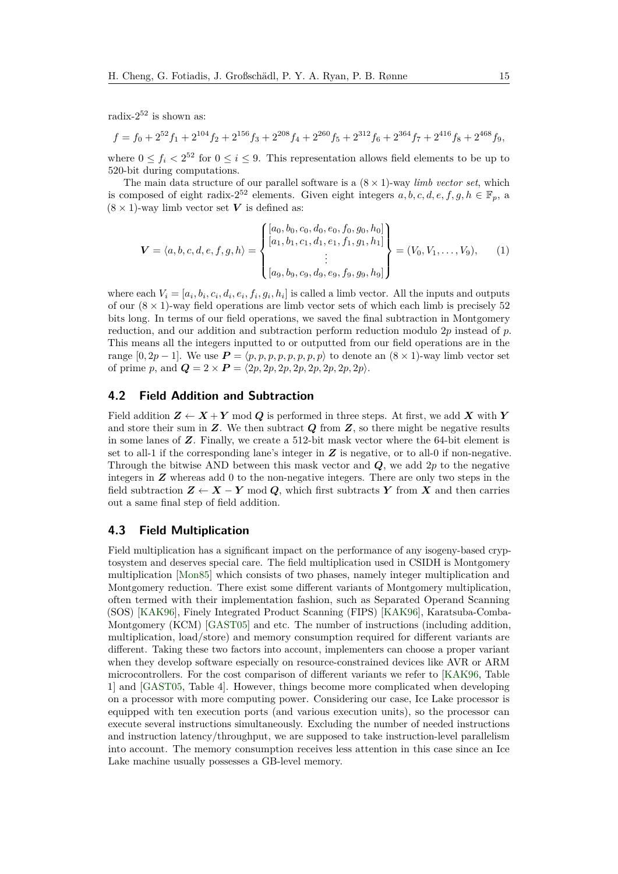radix- $2^{52}$  is shown as:

$$
f = f_0 + 2^{52} f_1 + 2^{104} f_2 + 2^{156} f_3 + 2^{208} f_4 + 2^{260} f_5 + 2^{312} f_6 + 2^{364} f_7 + 2^{416} f_8 + 2^{468} f_9,
$$

where  $0 \le f_i < 2^{52}$  for  $0 \le i \le 9$ . This representation allows field elements to be up to 520-bit during computations.

The main data structure of our parallel software is a  $(8 \times 1)$ -way *limb vector set*, which is composed of eight radix-2<sup>52</sup> elements. Given eight integers  $a, b, c, d, e, f, g, h \in \mathbb{F}_p$ , a  $(8 \times 1)$ -way limb vector set V is defined as:

$$
\boldsymbol{V} = \langle a, b, c, d, e, f, g, h \rangle = \begin{Bmatrix} [a_0, b_0, c_0, d_0, e_0, f_0, g_0, h_0] \\ [a_1, b_1, c_1, d_1, e_1, f_1, g_1, h_1] \\ \vdots \\ [a_9, b_9, c_9, d_9, e_9, f_9, g_9, h_9] \end{Bmatrix} = (V_0, V_1, \dots, V_9), \quad (1)
$$

where each  $V_i = [a_i, b_i, c_i, d_i, e_i, f_i, g_i, h_i]$  is called a limb vector. All the inputs and outputs of our  $(8 \times 1)$ -way field operations are limb vector sets of which each limb is precisely 52 bits long. In terms of our field operations, we saved the final subtraction in Montgomery reduction, and our addition and subtraction perform reduction modulo 2*p* instead of *p*. This means all the integers inputted to or outputted from our field operations are in the range  $[0, 2p - 1]$ . We use  $P = \langle p, p, p, p, p, p, p \rangle$  to denote an  $(8 \times 1)$ -way limb vector set of prime *p*, and  $Q = 2 \times P = \langle 2p, 2p, 2p, 2p, 2p, 2p, 2p \rangle$ .

#### <span id="page-14-0"></span>**4.2 Field Addition and Subtraction**

Field addition  $Z \leftarrow X + Y$  mod Q is performed in three steps. At first, we add X with Y and store their sum in  $Z$ . We then subtract  $Q$  from  $Z$ , so there might be negative results in some lanes of *Z*. Finally, we create a 512-bit mask vector where the 64-bit element is set to all-1 if the corresponding lane's integer in *Z* is negative, or to all-0 if non-negative. Through the bitwise AND between this mask vector and *Q*, we add 2*p* to the negative integers in **Z** whereas add 0 to the non-negative integers. There are only two steps in the field subtraction  $Z \leftarrow X - Y \mod Q$ , which first subtracts Y from X and then carries out a same final step of field addition.

### <span id="page-14-1"></span>**4.3 Field Multiplication**

Field multiplication has a significant impact on the performance of any isogeny-based cryptosystem and deserves special care. The field multiplication used in CSIDH is Montgomery multiplication [\[Mon85\]](#page-26-8) which consists of two phases, namely integer multiplication and Montgomery reduction. There exist some different variants of Montgomery multiplication, often termed with their implementation fashion, such as Separated Operand Scanning (SOS) [\[KAK96\]](#page-25-9), Finely Integrated Product Scanning (FIPS) [\[KAK96\]](#page-25-9), Karatsuba-Comba-Montgomery (KCM) [\[GAST05\]](#page-24-8) and etc. The number of instructions (including addition, multiplication, load/store) and memory consumption required for different variants are different. Taking these two factors into account, implementers can choose a proper variant when they develop software especially on resource-constrained devices like AVR or ARM microcontrollers. For the cost comparison of different variants we refer to [\[KAK96,](#page-25-9) Table 1] and [\[GAST05,](#page-24-8) Table 4]. However, things become more complicated when developing on a processor with more computing power. Considering our case, Ice Lake processor is equipped with ten execution ports (and various execution units), so the processor can execute several instructions simultaneously. Excluding the number of needed instructions and instruction latency/throughput, we are supposed to take instruction-level parallelism into account. The memory consumption receives less attention in this case since an Ice Lake machine usually possesses a GB-level memory.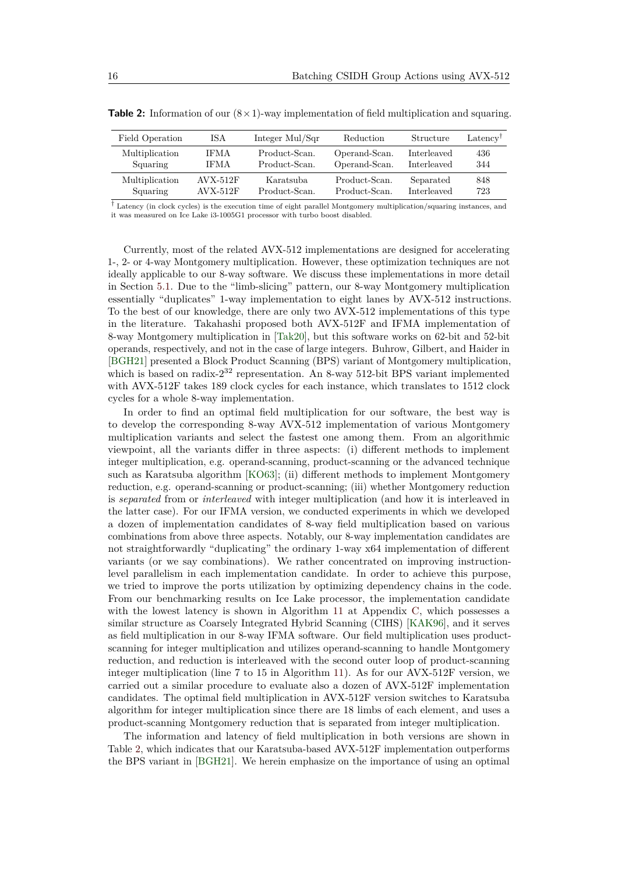| Field Operation | ISA         | Integer Mul/Sqr | Reduction     | Structure   | Latency <sup>†</sup> |
|-----------------|-------------|-----------------|---------------|-------------|----------------------|
| Multiplication  | IFM A       | Product-Scan.   | Operand-Scan. | Interleaved | 436                  |
| Squaring        | <b>IFMA</b> | Product-Scan.   | Operand-Scan. | Interleaved | 344                  |
| Multiplication  | $AVX-512F$  | Karatsuba       | Product-Scan. | Separated   | 848                  |
| Squaring        | $AVX-512F$  | Product-Scan.   | Product-Scan. | Interleaved | 723                  |

<span id="page-15-0"></span>**Table 2:** Information of our  $(8 \times 1)$ -way implementation of field multiplication and squaring.

<sup> $\dagger$ </sup> Latency (in clock cycles) is the execution time of eight parallel Montgomery multiplication/squaring instances, and it was measured on Ice Lake i3-1005G1 processor with turbo boost disabled.

Currently, most of the related AVX-512 implementations are designed for accelerating 1-, 2- or 4-way Montgomery multiplication. However, these optimization techniques are not ideally applicable to our 8-way software. We discuss these implementations in more detail in Section [5.1.](#page-16-0) Due to the "limb-slicing" pattern, our 8-way Montgomery multiplication essentially "duplicates" 1-way implementation to eight lanes by AVX-512 instructions. To the best of our knowledge, there are only two AVX-512 implementations of this type in the literature. Takahashi proposed both AVX-512F and IFMA implementation of 8-way Montgomery multiplication in [\[Tak20\]](#page-27-2), but this software works on 62-bit and 52-bit operands, respectively, and not in the case of large integers. Buhrow, Gilbert, and Haider in [\[BGH21\]](#page-23-8) presented a Block Product Scanning (BPS) variant of Montgomery multiplication, which is based on radix-2<sup>32</sup> representation. An 8-way 512-bit BPS variant implemented with AVX-512F takes 189 clock cycles for each instance, which translates to 1512 clock cycles for a whole 8-way implementation.

In order to find an optimal field multiplication for our software, the best way is to develop the corresponding 8-way AVX-512 implementation of various Montgomery multiplication variants and select the fastest one among them. From an algorithmic viewpoint, all the variants differ in three aspects: (i) different methods to implement integer multiplication, e.g. operand-scanning, product-scanning or the advanced technique such as Karatsuba algorithm [\[KO63\]](#page-25-10); (ii) different methods to implement Montgomery reduction, e.g. operand-scanning or product-scanning; (iii) whether Montgomery reduction is *separated* from or *interleaved* with integer multiplication (and how it is interleaved in the latter case). For our IFMA version, we conducted experiments in which we developed a dozen of implementation candidates of 8-way field multiplication based on various combinations from above three aspects. Notably, our 8-way implementation candidates are not straightforwardly "duplicating" the ordinary 1-way x64 implementation of different variants (or we say combinations). We rather concentrated on improving instructionlevel parallelism in each implementation candidate. In order to achieve this purpose, we tried to improve the ports utilization by optimizing dependency chains in the code. From our benchmarking results on Ice Lake processor, the implementation candidate with the lowest latency is shown in Algorithm [11](#page-30-0) at Appendix [C,](#page-30-1) which possesses a similar structure as Coarsely Integrated Hybrid Scanning (CIHS) [\[KAK96\]](#page-25-9), and it serves as field multiplication in our 8-way IFMA software. Our field multiplication uses productscanning for integer multiplication and utilizes operand-scanning to handle Montgomery reduction, and reduction is interleaved with the second outer loop of product-scanning integer multiplication (line 7 to 15 in Algorithm [11\)](#page-30-0). As for our AVX-512F version, we carried out a similar procedure to evaluate also a dozen of AVX-512F implementation candidates. The optimal field multiplication in AVX-512F version switches to Karatsuba algorithm for integer multiplication since there are 18 limbs of each element, and uses a product-scanning Montgomery reduction that is separated from integer multiplication.

The information and latency of field multiplication in both versions are shown in Table [2,](#page-15-0) which indicates that our Karatsuba-based AVX-512F implementation outperforms the BPS variant in [\[BGH21\]](#page-23-8). We herein emphasize on the importance of using an optimal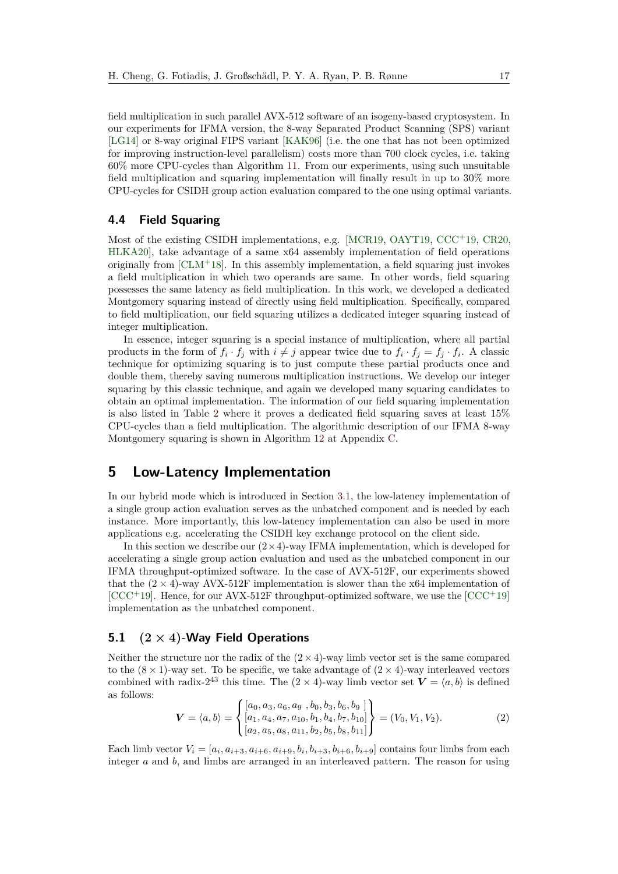field multiplication in such parallel AVX-512 software of an isogeny-based cryptosystem. In our experiments for IFMA version, the 8-way Separated Product Scanning (SPS) variant [\[LG14\]](#page-26-9) or 8-way original FIPS variant [\[KAK96\]](#page-25-9) (i.e. the one that has not been optimized for improving instruction-level parallelism) costs more than 700 clock cycles, i.e. taking 60% more CPU-cycles than Algorithm [11.](#page-30-0) From our experiments, using such unsuitable field multiplication and squaring implementation will finally result in up to 30% more CPU-cycles for CSIDH group action evaluation compared to the one using optimal variants.

### <span id="page-16-2"></span>**4.4 Field Squaring**

Most of the existing CSIDH implementations, e.g. [\[MCR19,](#page-26-5) [OAYT19,](#page-26-7) [CCC](#page-23-5)<sup>+</sup>19, [CR20,](#page-24-7) [HLKA20\]](#page-25-2), take advantage of a same x64 assembly implementation of field operations originally from  $\text{[CLM}^+18]$  $\text{[CLM}^+18]$  $\text{[CLM}^+18]$ . In this assembly implementation, a field squaring just invokes a field multiplication in which two operands are same. In other words, field squaring possesses the same latency as field multiplication. In this work, we developed a dedicated Montgomery squaring instead of directly using field multiplication. Specifically, compared to field multiplication, our field squaring utilizes a dedicated integer squaring instead of integer multiplication.

In essence, integer squaring is a special instance of multiplication, where all partial products in the form of  $f_i \cdot f_j$  with  $i \neq j$  appear twice due to  $f_i \cdot f_j = f_j \cdot f_i$ . A classic technique for optimizing squaring is to just compute these partial products once and double them, thereby saving numerous multiplication instructions. We develop our integer squaring by this classic technique, and again we developed many squaring candidates to obtain an optimal implementation. The information of our field squaring implementation is also listed in Table [2](#page-15-0) where it proves a dedicated field squaring saves at least 15% CPU-cycles than a field multiplication. The algorithmic description of our IFMA 8-way Montgomery squaring is shown in Algorithm [12](#page-31-0) at Appendix [C.](#page-30-1)

# **5 Low-Latency Implementation**

In our hybrid mode which is introduced in Section [3.1,](#page-7-0) the low-latency implementation of a single group action evaluation serves as the unbatched component and is needed by each instance. More importantly, this low-latency implementation can also be used in more applications e.g. accelerating the CSIDH key exchange protocol on the client side.

In this section we describe our  $(2\times4)$ -way IFMA implementation, which is developed for accelerating a single group action evaluation and used as the unbatched component in our IFMA throughput-optimized software. In the case of AVX-512F, our experiments showed that the  $(2 \times 4)$ -way AVX-512F implementation is slower than the x64 implementation of [\[CCC](#page-23-5)<sup>+</sup>19]. Hence, for our AVX-512F throughput-optimized software, we use the  $[CCC^+19]$ implementation as the unbatched component.

### <span id="page-16-0"></span>**5.1 (2 × 4)-Way Field Operations**

Neither the structure nor the radix of the  $(2 \times 4)$ -way limb vector set is the same compared to the  $(8 \times 1)$ -way set. To be specific, we take advantage of  $(2 \times 4)$ -way interleaved vectors combined with radix-2<sup>43</sup> this time. The  $(2 \times 4)$ -way limb vector set  $V = \langle a, b \rangle$  is defined as follows:

<span id="page-16-1"></span>
$$
\boldsymbol{V} = \langle a, b \rangle = \begin{cases} [a_0, a_3, a_6, a_9, b_0, b_3, b_6, b_9] \\ [a_1, a_4, a_7, a_{10}, b_1, b_4, b_7, b_{10}] \\ [a_2, a_5, a_8, a_{11}, b_2, b_5, b_8, b_{11}] \end{cases} = (V_0, V_1, V_2). \tag{2}
$$

Each limb vector  $V_i = [a_i, a_{i+3}, a_{i+6}, a_{i+9}, b_i, b_{i+3}, b_{i+6}, b_{i+9}]$  contains four limbs from each integer *a* and *b*, and limbs are arranged in an interleaved pattern. The reason for using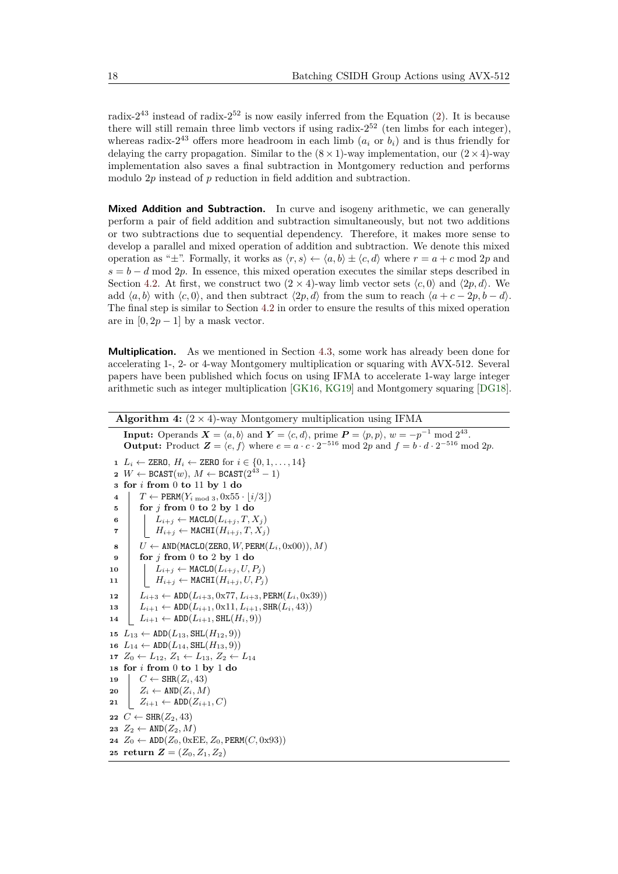radix-2<sup>43</sup> instead of radix-2<sup>52</sup> is now easily inferred from the Equation  $(2)$ . It is because there will still remain three limb vectors if using radix-2<sup>52</sup> (ten limbs for each integer), whereas radix-2<sup>43</sup> offers more headroom in each limb  $(a_i \text{ or } b_i)$  and is thus friendly for delaying the carry propagation. Similar to the  $(8 \times 1)$ -way implementation, our  $(2 \times 4)$ -way implementation also saves a final subtraction in Montgomery reduction and performs modulo 2*p* instead of *p* reduction in field addition and subtraction.

**Mixed Addition and Subtraction.** In curve and isogeny arithmetic, we can generally perform a pair of field addition and subtraction simultaneously, but not two additions or two subtractions due to sequential dependency. Therefore, it makes more sense to develop a parallel and mixed operation of addition and subtraction. We denote this mixed operation as " $\pm$ ". Formally, it works as  $\langle r, s \rangle \leftarrow \langle a, b \rangle \pm \langle c, d \rangle$  where  $r = a + c \mod 2p$  and  $s = b - d$  mod 2*p*. In essence, this mixed operation executes the similar steps described in Section [4.2.](#page-14-0) At first, we construct two  $(2 \times 4)$ -way limb vector sets  $\langle c, 0 \rangle$  and  $\langle 2p, d \rangle$ . We add  $\langle a, b \rangle$  with  $\langle c, 0 \rangle$ , and then subtract  $\langle 2p, d \rangle$  from the sum to reach  $\langle a + c - 2p, b - d \rangle$ . The final step is similar to Section [4.2](#page-14-0) in order to ensure the results of this mixed operation are in  $[0, 2p - 1]$  by a mask vector.

**Multiplication.** As we mentioned in Section [4.3,](#page-14-1) some work has already been done for accelerating 1-, 2- or 4-way Montgomery multiplication or squaring with AVX-512. Several papers have been published which focus on using IFMA to accelerate 1-way large integer arithmetic such as integer multiplication [\[GK16,](#page-24-9) [KG19\]](#page-25-11) and Montgomery squaring [\[DG18\]](#page-24-10).

```
Algorithm 4: (2 \times 4)-way Montgomery multiplication using IFMA
    Input: Operands \mathbf{X} = \langle a, b \rangle and \mathbf{Y} = \langle c, d \rangle, prime \mathbf{P} = \langle p, p \rangle, w = -p^{-1} \mod 2^{43}.
    Output: Product \mathbf{Z} = \langle e, f \rangle where e = a \cdot c \cdot 2^{-516} \mod 2p and f = b \cdot d \cdot 2^{-516} \mod 2p.
 1 L_i ← ZERO, H_i ← ZERO for i \in \{0, 1, \ldots, 14\}2 W ← BCAST(w), M ← BCAST(2^{43} – 1)3 for i from 0 to 11 by 1 do
 4 \mid T ← PERM(Y<sub>i</sub> mod 3, 0x55 · \lfloor i/3 \rfloor)
 5 for j from 0 to 2 by 1 do
 6 \vert L_{i+j} \leftarrow \text{MACLO}(L_{i+j}, T, X_i)\mathbf{7} Fi H_{i+j} \leftarrow \text{MACHI}(H_{i+j}, T, X_j)8 U \leftarrow AND(MACLO(ZERO, W, PERM(L_i, 0x00)), M)9 for j from 0 to 2 by 1 do
10 L_{i+j} \leftarrow \text{MACLO}(L_{i+j}, U, P_j)11 H<sub>i+j</sub> ← MACHI(H_{i+j}, U, P_j)12 L<sub>i+3</sub> ← ADD(L<sub>i+3</sub>, 0x77, L<sub>i+3</sub>, PERM(Li, 0x39))
13 L<sub>i+1</sub> ← ADD(L_{i+1}, 0x11, L_{i+1}, \text{SHR}(L_i, 43))14 L_{i+1} \leftarrow ADD(L_{i+1}, \text{SHL}(H_i, 9))15 L_{13} ← ADD(L_{13}, SHL(H_{12}, 9))
16 L_{14} ← ADD(L_{14}, \text{SHL}(H_{13}, 9))17 Z_0 ← L_{12}, Z_1 ← L_{13}, Z_2 ← L_{14}18 for i from 0 to 1 by 1 do
19 \mid C \leftarrow \text{SHR}(Z_i, 43)20 Z_i \leftarrow AND(Z_i, M)21 Z_{i+1} \leftarrow \text{ADD}(Z_{i+1}, C)22 C \leftarrow SHR(Z_2, 43)23 Z_2 ← AND(Z_2, M)24 Z_0 ← ADD(Z_0, 0xEE, Z_0, PERM(C, 0x93)25 return Z = (Z_0, Z_1, Z_2)
```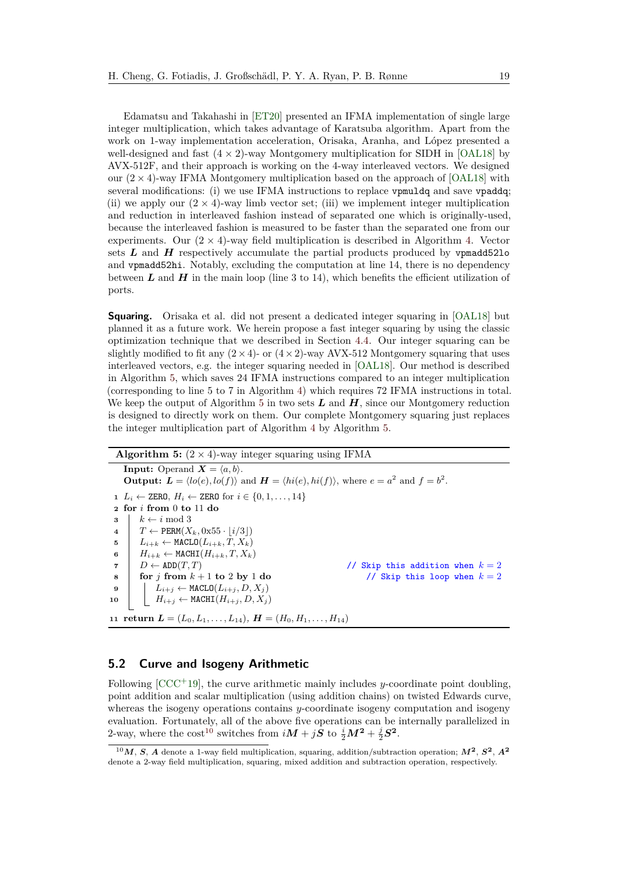Edamatsu and Takahashi in [\[ET20\]](#page-24-11) presented an IFMA implementation of single large integer multiplication, which takes advantage of Karatsuba algorithm. Apart from the work on 1-way implementation acceleration, Orisaka, Aranha, and López presented a well-designed and fast  $(4 \times 2)$ -way Montgomery multiplication for SIDH in [\[OAL18\]](#page-26-10) by AVX-512F, and their approach is working on the 4-way interleaved vectors. We designed our  $(2 \times 4)$ -way IFMA Montgomery multiplication based on the approach of [\[OAL18\]](#page-26-10) with several modifications: (i) we use IFMA instructions to replace vpmuldq and save vpaddq; (ii) we apply our  $(2 \times 4)$ -way limb vector set; (iii) we implement integer multiplication and reduction in interleaved fashion instead of separated one which is originally-used, because the interleaved fashion is measured to be faster than the separated one from our experiments. Our  $(2 \times 4)$ -way field multiplication is described in Algorithm [4.](#page-17-0) Vector sets *L* and *H* respectively accumulate the partial products produced by vpmadd52lo and vpmadd52hi. Notably, excluding the computation at line 14, there is no dependency between  $L$  and  $H$  in the main loop (line 3 to 14), which benefits the efficient utilization of ports.

**Squaring.** Orisaka et al. did not present a dedicated integer squaring in [\[OAL18\]](#page-26-10) but planned it as a future work. We herein propose a fast integer squaring by using the classic optimization technique that we described in Section [4.4.](#page-16-2) Our integer squaring can be slightly modified to fit any  $(2 \times 4)$ - or  $(4 \times 2)$ -way AVX-512 Montgomery squaring that uses interleaved vectors, e.g. the integer squaring needed in [\[OAL18\]](#page-26-10). Our method is described in Algorithm [5,](#page-18-0) which saves 24 IFMA instructions compared to an integer multiplication (corresponding to line 5 to 7 in Algorithm [4\)](#page-17-0) which requires 72 IFMA instructions in total. We keep the output of Algorithm [5](#page-18-0) in two sets  $L$  and  $H$ , since our Montgomery reduction is designed to directly work on them. Our complete Montgomery squaring just replaces the integer multiplication part of Algorithm [4](#page-17-0) by Algorithm [5.](#page-18-0)

**Algorithm 5:**  $(2 \times 4)$ -way integer squaring using IFMA **Input:** Operand  $X = \langle a, b \rangle$ . **Output:**  $\boldsymbol{L} = \langle \ln(e), \ln(f) \rangle$  and  $\boldsymbol{H} = \langle \ln(e), \ln(f) \rangle$ , where  $e = a^2$  and  $f = b^2$ .  $L_i$  ← **ZERO**,  $H_i$  ← **ZERO** for  $i \in \{0, 1, ..., 14\}$  **for** *i* **from** 0 **to** 11 **do**  $k \leftarrow i \mod 3$   $T \leftarrow \text{PERM}(X_k, 0x55 \cdot |i/3|)$  $\mathbf{5}$   $L_{i+k} \leftarrow \text{MACLO}(L_{i+k}, T, X_k)$   $H_{i+k} \leftarrow \text{MACHI}(H_{i+k}, T, X_k)$   $D \leftarrow \text{ADD}(T, T)$  // Skip this addition when  $k = 2$  **for** *j* **from**  $k+1$  **to** 2 **by** 1 **do** // Skip this loop when  $k=2$   $L_{i+j} \leftarrow \text{MACLO}(L_{i+j}, D, X_i)$ *H*<sub>*i*+*j*</sub> ← MACHI( $H$ <sub>*i*+*j*</sub>, *D*,  $X_j$ ) **return**  $L = (L_0, L_1, \ldots, L_{14}), H = (H_0, H_1, \ldots, H_{14})$ 

### <span id="page-18-0"></span>**5.2 Curve and Isogeny Arithmetic**

Following [\[CCC](#page-23-5)<sup>+</sup>19], the curve arithmetic mainly includes *y*-coordinate point doubling, point addition and scalar multiplication (using addition chains) on twisted Edwards curve, whereas the isogeny operations contains *y*-coordinate isogeny computation and isogeny evaluation. Fortunately, all of the above five operations can be internally parallelized in 2-way, where the cost<sup>[10](#page-18-1)</sup> switches from  $iM + j\overline{S}$  to  $\frac{i}{2}M^2 + \frac{j}{2}S^2$ .

<span id="page-18-1"></span> $^{10}M$ , *S*, *A* denote a 1-way field multiplication, squaring, addition/subtraction operation;  $M^2$ ,  $S^2$ ,  $A^2$ denote a 2-way field multiplication, squaring, mixed addition and subtraction operation, respectively.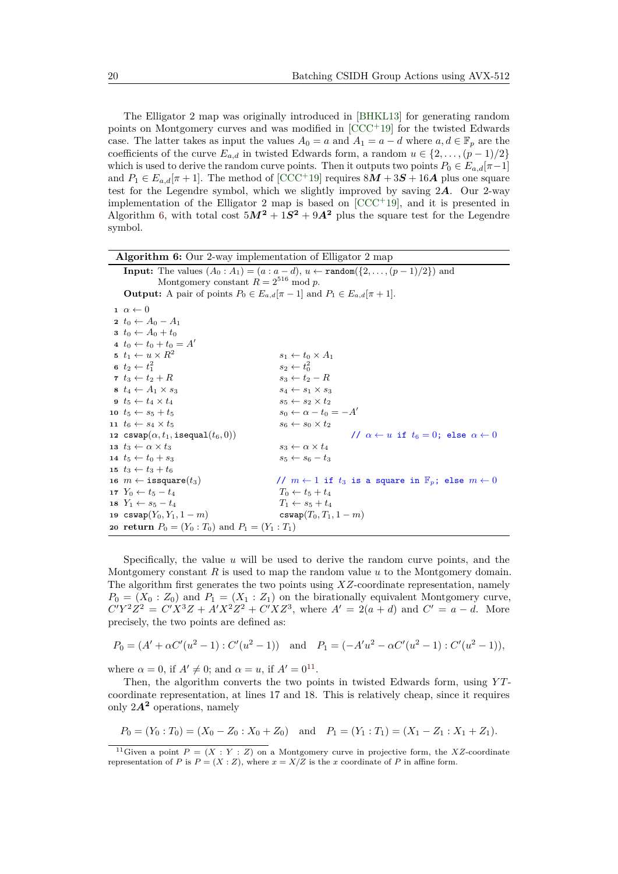The Elligator 2 map was originally introduced in [\[BHKL13\]](#page-23-4) for generating random points on Montgomery curves and was modified in  $[CCC+19]$  $[CCC+19]$  for the twisted Edwards case. The latter takes as input the values  $A_0 = a$  and  $A_1 = a - d$  where  $a, d \in \mathbb{F}_p$  are the coefficients of the curve  $E_{a,d}$  in twisted Edwards form, a random  $u \in \{2, \ldots, (p-1)/2\}$ which is used to derive the random curve points. Then it outputs two points  $P_0 \in E_{a,d}[\pi-1]$ and  $P_1 \in E_{a,d}[\pi + 1]$ . The method of [\[CCC](#page-23-5)<sup>+</sup>19] requires  $8M + 3S + 16A$  plus one square test for the Legendre symbol, which we slightly improved by saving 2*A*. Our 2-way implementation of the Elligator 2 map is based on  $[CCC<sup>+</sup>19]$  $[CCC<sup>+</sup>19]$ , and it is presented in Algorithm [6,](#page-19-0) with total cost  $5M^2 + 1S^2 + 9A^2$  plus the square test for the Legendre symbol.

| <b>Algorithm 6:</b> Our 2-way implementation of Elligator 2 map                         |                                                                                                        |
|-----------------------------------------------------------------------------------------|--------------------------------------------------------------------------------------------------------|
|                                                                                         | <b>Input:</b> The values $(A_0 : A_1) = (a : a - d), u \leftarrow \text{random}(\{2, , (p-1)/2\})$ and |
| Montgomery constant $R = 2^{516} \text{ mod } p$ .                                      |                                                                                                        |
| <b>Output:</b> A pair of points $P_0 \in E_{a,d}[\pi-1]$ and $P_1 \in E_{a,d}[\pi+1]$ . |                                                                                                        |
| $1 \alpha \leftarrow 0$                                                                 |                                                                                                        |
| <b>2</b> $t_0 \leftarrow A_0 - A_1$                                                     |                                                                                                        |
| $t_0 \leftarrow A_0 + t_0$                                                              |                                                                                                        |
| 4 $t_0 \leftarrow t_0 + t_0 = A'$                                                       |                                                                                                        |
| 5 $t_1 \leftarrow u \times R^2$                                                         | $s_1 \leftarrow t_0 \times A_1$                                                                        |
| 6 $t_2 \leftarrow t_1^2$                                                                | $s_2 \leftarrow t_0^2$                                                                                 |
| $\tau t_3 \leftarrow t_2 + R$                                                           | $s_3 \leftarrow t_2 - R$                                                                               |
| $s t_4 \leftarrow A_1 \times s_3$                                                       | $s_4 \leftarrow s_1 \times s_3$                                                                        |
| $9 t_5 \leftarrow t_4 \times t_4$                                                       | $s_5 \leftarrow s_2 \times t_2$                                                                        |
| 10 $t_5 \leftarrow s_5 + t_5$                                                           | $s_0 \leftarrow \alpha - t_0 = -A'$                                                                    |
| 11 $t_6 \leftarrow s_4 \times t_5$                                                      | $s_6 \leftarrow s_0 \times t_2$                                                                        |
| 12 $\text{cswap}(\alpha, t_1, \text{isequal}(t_6, 0))$                                  | // $\alpha \leftarrow u$ if $t_6 = 0$ : else $\alpha \leftarrow 0$                                     |
| 13 $t_3 \leftarrow \alpha \times t_3$                                                   | $s_3 \leftarrow \alpha \times t_4$                                                                     |
| 14 $t_5 \leftarrow t_0 + s_3$                                                           | $s_5 \leftarrow s_6 - t_3$                                                                             |
| 15 $t_3 \leftarrow t_3 + t_6$                                                           |                                                                                                        |
| 16 $m \leftarrow$ issquare( $t_3$ )                                                     | // $m \leftarrow 1$ if $t_3$ is a square in $\mathbb{F}_p$ ; else $m \leftarrow 0$                     |
| 17 $Y_0 \leftarrow t_5 - t_4$                                                           | $T_0 \leftarrow t_5 + t_4$                                                                             |
| 18 $Y_1 \leftarrow s_5 - t_4$                                                           | $T_1 \leftarrow s_5 + t_4$                                                                             |
| 19 $\text{cswap}(Y_0, Y_1, 1-m)$                                                        | $\texttt{cswap}(T_0, T_1, 1-m)$                                                                        |
| <b>20 return</b> $P_0 = (Y_0 : T_0)$ and $P_1 = (Y_1 : T_1)$                            |                                                                                                        |

<span id="page-19-0"></span>Specifically, the value *u* will be used to derive the random curve points, and the Montgomery constant *R* is used to map the random value *u* to the Montgomery domain. The algorithm first generates the two points using *XZ*-coordinate representation, namely  $P_0 = (X_0 : Z_0)$  and  $P_1 = (X_1 : Z_1)$  on the birationally equivalent Montgomery curve,  $C'Y^2Z^2 = C'X^3Z + A'X^2Z^2 + C'XZ^3$ , where  $A' = 2(a + d)$  and  $C' = a - d$ . More precisely, the two points are defined as:

$$
P_0 = (A' + \alpha C'(u^2 - 1) : C'(u^2 - 1)) \text{ and } P_1 = (-A'u^2 - \alpha C'(u^2 - 1) : C'(u^2 - 1)),
$$

where  $\alpha = 0$ , if  $A' \neq 0$ ; and  $\alpha = u$ , if  $A' = 0^{11}$  $A' = 0^{11}$  $A' = 0^{11}$ .

Then, the algorithm converts the two points in twisted Edwards form, using *Y T*coordinate representation, at lines 17 and 18. This is relatively cheap, since it requires only  $2A^2$  operations, namely

 $P_0 = (Y_0 : T_0) = (X_0 - Z_0 : X_0 + Z_0)$  and  $P_1 = (Y_1 : T_1) = (X_1 - Z_1 : X_1 + Z_1)$ .

<span id="page-19-1"></span><sup>&</sup>lt;sup>11</sup>Given a point  $P = (X : Y : Z)$  on a Montgomery curve in projective form, the *XZ*-coordinate representation of *P* is  $P = (X : Z)$ , where  $x = X/Z$  is the *x* coordinate of *P* in affine form.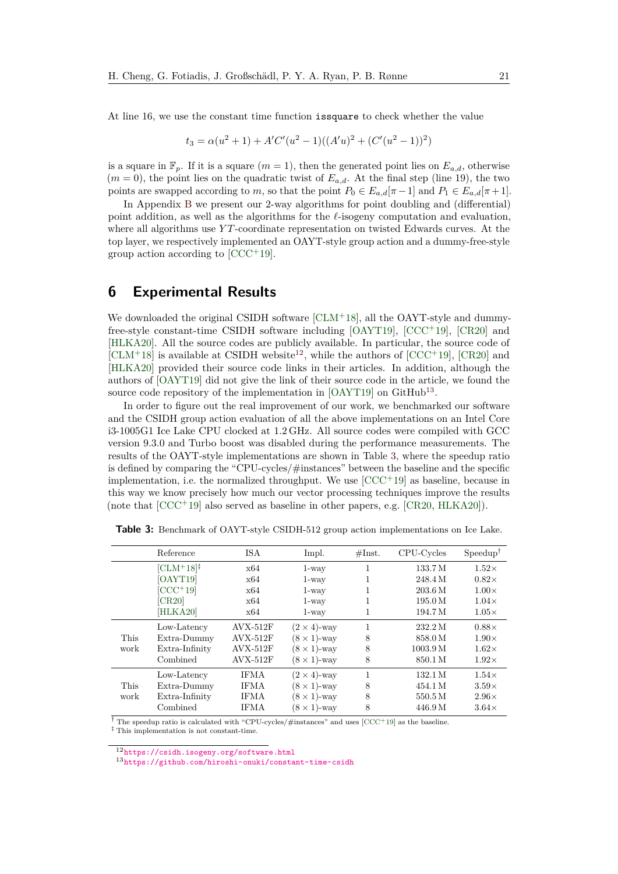At line 16, we use the constant time function issquare to check whether the value

$$
t_3 = \alpha(u^2 + 1) + A'C'(u^2 - 1)((A'u)^2 + (C'(u^2 - 1))^2)
$$

is a square in  $\mathbb{F}_p$ . If it is a square  $(m = 1)$ , then the generated point lies on  $E_{a,d}$ , otherwise  $(m = 0)$ , the point lies on the quadratic twist of  $E_{a,d}$ . At the final step (line 19), the two points are swapped according to *m*, so that the point  $P_0 \in E_{a,d}[\pi-1]$  and  $P_1 \in E_{a,d}[\pi+1]$ .

In Appendix [B](#page-27-3) we present our 2-way algorithms for point doubling and (differential) point addition, as well as the algorithms for the  $\ell$ -isogeny computation and evaluation, where all algorithms use *Y T*-coordinate representation on twisted Edwards curves. At the top layer, we respectively implemented an OAYT-style group action and a dummy-free-style group action according to  $[CCC+19]$  $[CCC+19]$ .

### **6 Experimental Results**

We downloaded the original CSIDH software  $[CLM+18]$  $[CLM+18]$ , all the OAYT-style and dummyfree-style constant-time CSIDH software including  $[OAYT19]$ ,  $[CCC+19]$  $[CCC+19]$ ,  $[CR20]$  and [\[HLKA20\]](#page-25-2). All the source codes are publicly available. In particular, the source code of  $[CLM+18]$  $[CLM+18]$  is available at CSIDH website<sup>[12](#page-20-1)</sup>, while the authors of  $[CCC+19]$  $[CCC+19]$ ,  $[CR20]$  and [\[HLKA20\]](#page-25-2) provided their source code links in their articles. In addition, although the authors of [\[OAYT19\]](#page-26-7) did not give the link of their source code in the article, we found the source code repository of the implementation in  $[OAYT19]$  on  $GitHub<sup>13</sup>$  $GitHub<sup>13</sup>$  $GitHub<sup>13</sup>$ .

In order to figure out the real improvement of our work, we benchmarked our software and the CSIDH group action evaluation of all the above implementations on an Intel Core i3-1005G1 Ice Lake CPU clocked at 1*.*2 GHz. All source codes were compiled with GCC version 9.3.0 and Turbo boost was disabled during the performance measurements. The results of the OAYT-style implementations are shown in Table [3,](#page-20-0) where the speedup ratio is defined by comparing the "CPU-cycles/#instances" between the baseline and the specific implementation, i.e. the normalized throughput. We use  $[CCC^+19]$  $[CCC^+19]$  as baseline, because in this way we know precisely how much our vector processing techniques improve the results (note that  $[CCC^+19]$  $[CCC^+19]$  also served as baseline in other papers, e.g.  $[CR20, HLKA20]$  $[CR20, HLKA20]$  $[CR20, HLKA20]$ ).

|      | Reference               | <b>ISA</b>  | Impl.               | #Inst. | CPU-Cycles          | $S$ peedup <sup>†</sup> |
|------|-------------------------|-------------|---------------------|--------|---------------------|-------------------------|
|      | $[CLM+18]$ <sup>‡</sup> | x64         | $1$ -way            |        | 133.7 M             | $1.52\times$            |
|      | [OAYT19]                | x64         | $1$ -way            |        | 248.4 M             | $0.82\times$            |
|      | $[CCC+19]$              | x64         | $1$ -way            |        | $203.6\,\mathrm{M}$ | $1.00\times$            |
|      | [ $CR20$ ]              | x64         | $1$ -way            |        | 195.0 M             | $1.04\times$            |
|      | [HLKA20]                | x64         | $1$ -way            | 1      | 194.7 M             | $1.05\times$            |
|      | Low-Latency             | $AVX-512F$  | $(2 \times 4)$ -way |        | 232.2 M             | $0.88\times$            |
| This | Extra-Dummy             | $AVX-512F$  | $(8 \times 1)$ -way | 8      | 858.0M              | $1.90\times$            |
| work | Extra-Infinity          | $AVX-512F$  | $(8 \times 1)$ -way | 8      | 1003.9 M            | $1.62\times$            |
|      | Combined                | $AVX-512F$  | $(8 \times 1)$ -way | 8      | 850.1 M             | $1.92\times$            |
|      | Low-Latency             | <b>IFMA</b> | $(2 \times 4)$ -way | 1      | 132.1 M             | $1.54\times$            |
| This | Extra-Dummy             | <b>IFMA</b> | $(8 \times 1)$ -way | 8      | 454.1 M             | $3.59\times$            |
| work | Extra-Infinity          | <b>IFMA</b> | $(8 \times 1)$ -way | 8      | 550.5 M             | $2.96\times$            |
|      | Combined                | <b>IFMA</b> | $(8 \times 1)$ -way | 8      | 446.9 M             | $3.64\times$            |

<span id="page-20-0"></span>**Table 3:** Benchmark of OAYT-style CSIDH-512 group action implementations on Ice Lake.

<sup>†</sup> The speedup ratio is calculated with "CPU-cycles/#instances" and uses  $[CCC^+19]$  $[CCC^+19]$  as the baseline.

‡ This implementation is not constant-time.

<span id="page-20-2"></span><sup>13</sup><https://github.com/hiroshi-onuki/constant-time-csidh>

<span id="page-20-1"></span><sup>12</sup><https://csidh.isogeny.org/software.html>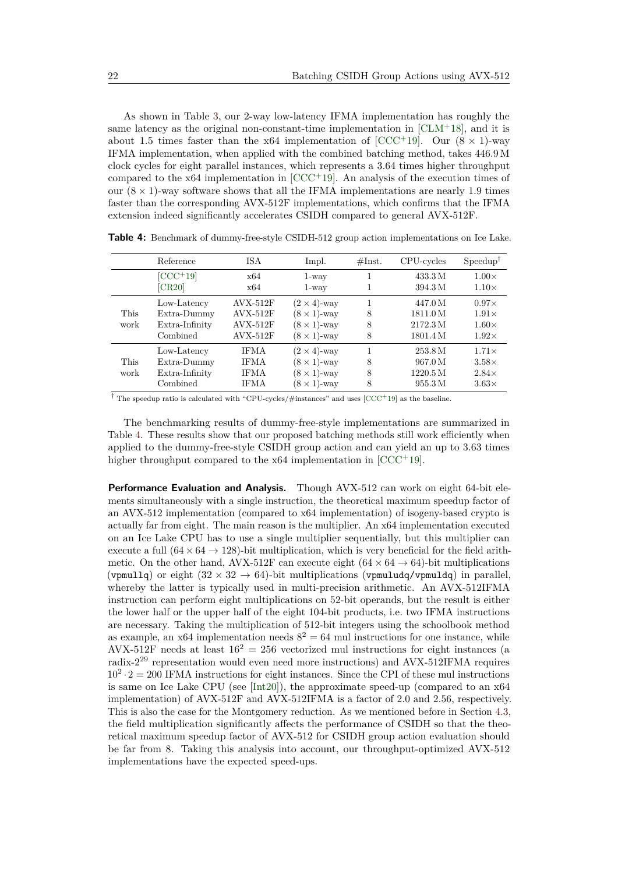As shown in Table [3,](#page-20-0) our 2-way low-latency IFMA implementation has roughly the same latency as the original non-constant-time implementation in  $\lbrack CLM^{+}18\rbrack$ , and it is about 1.5 times faster than the x64 implementation of [\[CCC](#page-23-5)+19]. Our  $(8 \times 1)$ -way IFMA implementation, when applied with the combined batching method, takes 446*.*9 M clock cycles for eight parallel instances, which represents a 3.64 times higher throughput compared to the  $x64$  implementation in  $[CCC<sup>+</sup>19]$  $[CCC<sup>+</sup>19]$ . An analysis of the execution times of our  $(8 \times 1)$ -way software shows that all the IFMA implementations are nearly 1.9 times faster than the corresponding AVX-512F implementations, which confirms that the IFMA extension indeed significantly accelerates CSIDH compared to general AVX-512F.

|              | Reference                                                | ISA                                                      | Impl.                                                                                    | #Inst.      | CPU-cycles                                            | $S$ peedup <sup>†</sup>                                      |
|--------------|----------------------------------------------------------|----------------------------------------------------------|------------------------------------------------------------------------------------------|-------------|-------------------------------------------------------|--------------------------------------------------------------|
|              | $[CCC+19]$<br>CR20                                       | x64<br>x64                                               | $1$ -way<br>$1$ -way                                                                     |             | 433.3 M<br>394.3 M                                    | $1.00\times$<br>$1.10\times$                                 |
| This<br>work | Low-Latency<br>Extra-Dummy<br>Extra-Infinity<br>Combined | $AVX-512F$<br>$AVX-512F$<br>$AVX-512F$<br>$AVX-512F$     | $(2 \times 4)$ -way<br>$(8 \times 1)$ -way<br>$(8 \times 1)$ -way<br>$(8 \times 1)$ -way | 8<br>8<br>8 | 447.0 M<br>1811.0M<br>2172.3 M<br>1801.4 M            | $0.97\times$<br>$1.91\times$<br>$1.60\times$<br>$1.92\times$ |
| This<br>work | Low-Latency<br>Extra-Dummy<br>Extra-Infinity<br>Combined | <b>IFMA</b><br><b>IFMA</b><br><b>IFMA</b><br><b>IFMA</b> | $(2 \times 4)$ -way<br>$(8 \times 1)$ -way<br>$(8 \times 1)$ -way<br>$(8 \times 1)$ -way | 8<br>8<br>8 | 253.8 M<br>967.0 M<br>$1220.5\,\mathrm{M}$<br>955.3 M | $1.71\times$<br>$3.58\times$<br>$2.84\times$<br>$3.63\times$ |

<span id="page-21-0"></span>**Table 4:** Benchmark of dummy-free-style CSIDH-512 group action implementations on Ice Lake.

<sup>†</sup> The speedup ratio is calculated with "CPU-cycles/#instances" and uses  $[CCC+19]$  $[CCC+19]$  as the baseline.

The benchmarking results of dummy-free-style implementations are summarized in Table [4.](#page-21-0) These results show that our proposed batching methods still work efficiently when applied to the dummy-free-style CSIDH group action and can yield an up to 3.63 times higher throughput compared to the  $x64$  implementation in  $[CCC^+19]$  $[CCC^+19]$ .

**Performance Evaluation and Analysis.** Though AVX-512 can work on eight 64-bit elements simultaneously with a single instruction, the theoretical maximum speedup factor of an AVX-512 implementation (compared to x64 implementation) of isogeny-based crypto is actually far from eight. The main reason is the multiplier. An x64 implementation executed on an Ice Lake CPU has to use a single multiplier sequentially, but this multiplier can execute a full  $(64 \times 64 \rightarrow 128)$ -bit multiplication, which is very beneficial for the field arithmetic. On the other hand, AVX-512F can execute eight  $(64 \times 64 \rightarrow 64)$ -bit multiplications (vpmullq) or eight  $(32 \times 32 \rightarrow 64)$ -bit multiplications (vpmuludq/vpmuldq) in parallel, whereby the latter is typically used in multi-precision arithmetic. An AVX-512IFMA instruction can perform eight multiplications on 52-bit operands, but the result is either the lower half or the upper half of the eight 104-bit products, i.e. two IFMA instructions are necessary. Taking the multiplication of 512-bit integers using the schoolbook method as example, an  $x64$  implementation needs  $8^2 = 64$  mul instructions for one instance, while AVX-512F needs at least  $16^2 = 256$  vectorized mul instructions for eight instances (a radix-2<sup>29</sup> representation would even need more instructions) and AVX-512IFMA requires  $10^2 \cdot 2 = 200$  IFMA instructions for eight instances. Since the CPI of these mul instructions is same on Ice Lake CPU (see [\[Int20\]](#page-25-8)), the approximate speed-up (compared to an x64 implementation) of AVX-512F and AVX-512IFMA is a factor of 2*.*0 and 2*.*56, respectively. This is also the case for the Montgomery reduction. As we mentioned before in Section [4.3,](#page-14-1) the field multiplication significantly affects the performance of CSIDH so that the theoretical maximum speedup factor of AVX-512 for CSIDH group action evaluation should be far from 8. Taking this analysis into account, our throughput-optimized AVX-512 implementations have the expected speed-ups.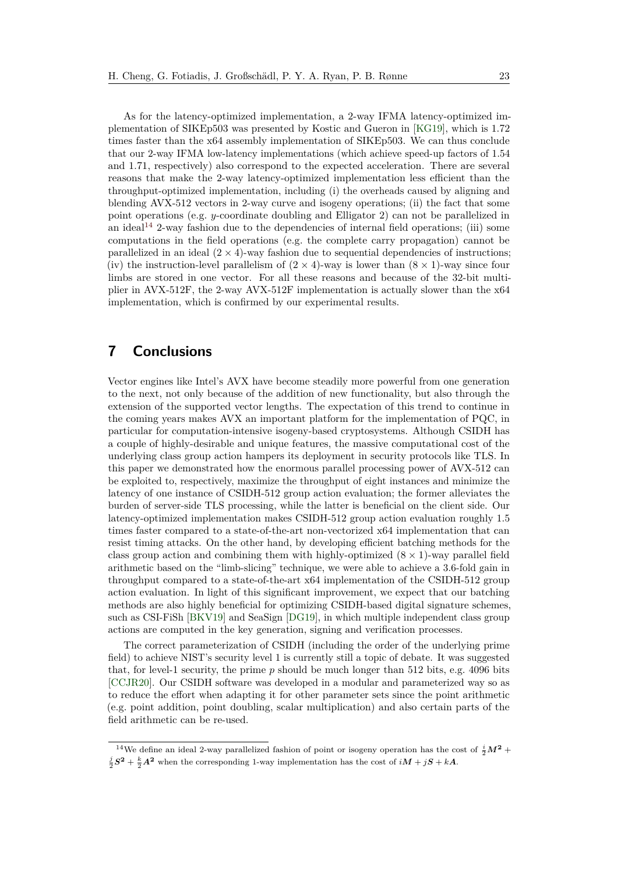As for the latency-optimized implementation, a 2-way IFMA latency-optimized implementation of SIKEp503 was presented by Kostic and Gueron in [\[KG19\]](#page-25-11), which is 1*.*72 times faster than the x64 assembly implementation of SIKEp503. We can thus conclude that our 2-way IFMA low-latency implementations (which achieve speed-up factors of 1*.*54 and 1*.*71, respectively) also correspond to the expected acceleration. There are several reasons that make the 2-way latency-optimized implementation less efficient than the throughput-optimized implementation, including (i) the overheads caused by aligning and blending AVX-512 vectors in 2-way curve and isogeny operations; (ii) the fact that some point operations (e.g. *y*-coordinate doubling and Elligator 2) can not be parallelized in an ideal<sup>[14](#page-22-0)</sup> 2-way fashion due to the dependencies of internal field operations; (iii) some computations in the field operations (e.g. the complete carry propagation) cannot be parallelized in an ideal  $(2 \times 4)$ -way fashion due to sequential dependencies of instructions; (iv) the instruction-level parallelism of  $(2 \times 4)$ -way is lower than  $(8 \times 1)$ -way since four limbs are stored in one vector. For all these reasons and because of the 32-bit multiplier in AVX-512F, the 2-way AVX-512F implementation is actually slower than the x64 implementation, which is confirmed by our experimental results.

### **7 Conclusions**

Vector engines like Intel's AVX have become steadily more powerful from one generation to the next, not only because of the addition of new functionality, but also through the extension of the supported vector lengths. The expectation of this trend to continue in the coming years makes AVX an important platform for the implementation of PQC, in particular for computation-intensive isogeny-based cryptosystems. Although CSIDH has a couple of highly-desirable and unique features, the massive computational cost of the underlying class group action hampers its deployment in security protocols like TLS. In this paper we demonstrated how the enormous parallel processing power of AVX-512 can be exploited to, respectively, maximize the throughput of eight instances and minimize the latency of one instance of CSIDH-512 group action evaluation; the former alleviates the burden of server-side TLS processing, while the latter is beneficial on the client side. Our latency-optimized implementation makes CSIDH-512 group action evaluation roughly 1.5 times faster compared to a state-of-the-art non-vectorized x64 implementation that can resist timing attacks. On the other hand, by developing efficient batching methods for the class group action and combining them with highly-optimized  $(8 \times 1)$ -way parallel field arithmetic based on the "limb-slicing" technique, we were able to achieve a 3.6-fold gain in throughput compared to a state-of-the-art x64 implementation of the CSIDH-512 group action evaluation. In light of this significant improvement, we expect that our batching methods are also highly beneficial for optimizing CSIDH-based digital signature schemes, such as CSI-FiSh [\[BKV19\]](#page-23-0) and SeaSign [\[DG19\]](#page-24-3), in which multiple independent class group actions are computed in the key generation, signing and verification processes.

The correct parameterization of CSIDH (including the order of the underlying prime field) to achieve NIST's security level 1 is currently still a topic of debate. It was suggested that, for level-1 security, the prime *p* should be much longer than 512 bits, e.g. 4096 bits [\[CCJR20\]](#page-24-6). Our CSIDH software was developed in a modular and parameterized way so as to reduce the effort when adapting it for other parameter sets since the point arithmetic (e.g. point addition, point doubling, scalar multiplication) and also certain parts of the field arithmetic can be re-used.

<span id="page-22-0"></span><sup>&</sup>lt;sup>14</sup>We define an ideal 2-way parallelized fashion of point or isogeny operation has the cost of  $\frac{i}{2}M^2$  +  $\frac{j}{2}$  **S**<sup>2</sup> +  $\frac{k}{2}$ *A***<sup>2</sup>** when the corresponding 1-way implementation has the cost of *iM* + *j***S** + *k***A**.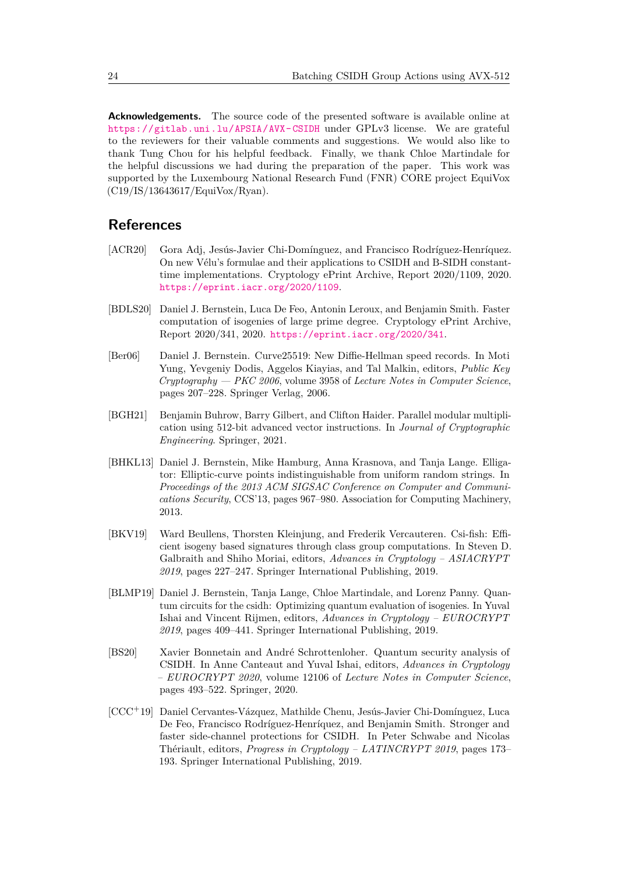**Acknowledgements.** The source code of the presented software is available online at [https://gitlab.uni.lu/APSIA/AVX- CSIDH](https://gitlab.uni.lu/APSIA/AVX-CSIDH) under GPLv3 license. We are grateful to the reviewers for their valuable comments and suggestions. We would also like to thank Tung Chou for his helpful feedback. Finally, we thank Chloe Martindale for the helpful discussions we had during the preparation of the paper. This work was supported by the Luxembourg National Research Fund (FNR) CORE project EquiVox (C19/IS/13643617/EquiVox/Ryan).

### **References**

- <span id="page-23-6"></span>[ACR20] Gora Adj, Jesús-Javier Chi-Domínguez, and Francisco Rodríguez-Henríquez. On new Vélu's formulae and their applications to CSIDH and B-SIDH constanttime implementations. Cryptology ePrint Archive, Report 2020/1109, 2020. <https://eprint.iacr.org/2020/1109>.
- <span id="page-23-7"></span>[BDLS20] Daniel J. Bernstein, Luca De Feo, Antonin Leroux, and Benjamin Smith. Faster computation of isogenies of large prime degree. Cryptology ePrint Archive, Report 2020/341, 2020. <https://eprint.iacr.org/2020/341>.
- <span id="page-23-1"></span>[Ber06] Daniel J. Bernstein. Curve25519: New Diffie-Hellman speed records. In Moti Yung, Yevgeniy Dodis, Aggelos Kiayias, and Tal Malkin, editors, *Public Key Cryptography — PKC 2006*, volume 3958 of *Lecture Notes in Computer Science*, pages 207–228. Springer Verlag, 2006.
- <span id="page-23-8"></span>[BGH21] Benjamin Buhrow, Barry Gilbert, and Clifton Haider. Parallel modular multiplication using 512-bit advanced vector instructions. In *Journal of Cryptographic Engineering*. Springer, 2021.
- <span id="page-23-4"></span>[BHKL13] Daniel J. Bernstein, Mike Hamburg, Anna Krasnova, and Tanja Lange. Elligator: Elliptic-curve points indistinguishable from uniform random strings. In *Proceedings of the 2013 ACM SIGSAC Conference on Computer and Communications Security*, CCS'13, pages 967–980. Association for Computing Machinery, 2013.
- <span id="page-23-0"></span>[BKV19] Ward Beullens, Thorsten Kleinjung, and Frederik Vercauteren. Csi-fish: Efficient isogeny based signatures through class group computations. In Steven D. Galbraith and Shiho Moriai, editors, *Advances in Cryptology – ASIACRYPT 2019*, pages 227–247. Springer International Publishing, 2019.
- <span id="page-23-3"></span>[BLMP19] Daniel J. Bernstein, Tanja Lange, Chloe Martindale, and Lorenz Panny. Quantum circuits for the csidh: Optimizing quantum evaluation of isogenies. In Yuval Ishai and Vincent Rijmen, editors, *Advances in Cryptology – EUROCRYPT 2019*, pages 409–441. Springer International Publishing, 2019.
- <span id="page-23-2"></span>[BS20] Xavier Bonnetain and André Schrottenloher. Quantum security analysis of CSIDH. In Anne Canteaut and Yuval Ishai, editors, *Advances in Cryptology – EUROCRYPT 2020*, volume 12106 of *Lecture Notes in Computer Science*, pages 493–522. Springer, 2020.
- <span id="page-23-5"></span>[CCC<sup>+</sup>19] Daniel Cervantes-Vázquez, Mathilde Chenu, Jesús-Javier Chi-Domínguez, Luca De Feo, Francisco Rodríguez-Henríquez, and Benjamin Smith. Stronger and faster side-channel protections for CSIDH. In Peter Schwabe and Nicolas Thériault, editors, *Progress in Cryptology – LATINCRYPT 2019*, pages 173– 193. Springer International Publishing, 2019.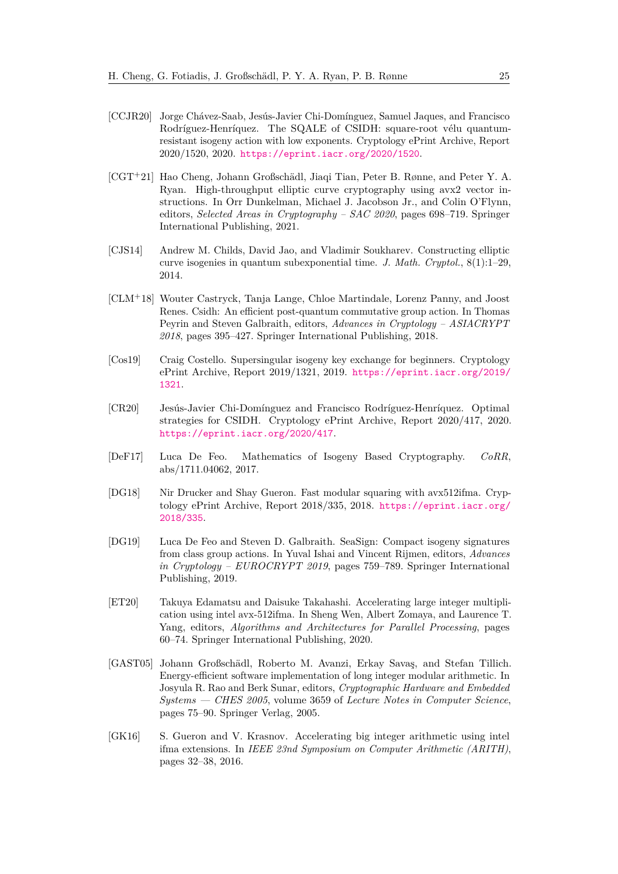- <span id="page-24-6"></span>[CCJR20] Jorge Chávez-Saab, Jesús-Javier Chi-Domínguez, Samuel Jaques, and Francisco Rodríguez-Henríquez. The SQALE of CSIDH: square-root vélu quantumresistant isogeny action with low exponents. Cryptology ePrint Archive, Report 2020/1520, 2020. <https://eprint.iacr.org/2020/1520>.
- <span id="page-24-4"></span>[CGT<sup>+</sup>21] Hao Cheng, Johann Großschädl, Jiaqi Tian, Peter B. Rønne, and Peter Y. A. Ryan. High-throughput elliptic curve cryptography using avx2 vector instructions. In Orr Dunkelman, Michael J. Jacobson Jr., and Colin O'Flynn, editors, *Selected Areas in Cryptography – SAC 2020*, pages 698–719. Springer International Publishing, 2021.
- <span id="page-24-5"></span>[CJS14] Andrew M. Childs, David Jao, and Vladimir Soukharev. Constructing elliptic curve isogenies in quantum subexponential time. *J. Math. Cryptol.*, 8(1):1–29, 2014.
- <span id="page-24-2"></span>[CLM<sup>+</sup>18] Wouter Castryck, Tanja Lange, Chloe Martindale, Lorenz Panny, and Joost Renes. Csidh: An efficient post-quantum commutative group action. In Thomas Peyrin and Steven Galbraith, editors, *Advances in Cryptology – ASIACRYPT 2018*, pages 395–427. Springer International Publishing, 2018.
- <span id="page-24-1"></span>[Cos19] Craig Costello. Supersingular isogeny key exchange for beginners. Cryptology ePrint Archive, Report 2019/1321, 2019. [https://eprint.iacr.org/2019/](https://eprint.iacr.org/2019/1321) [1321](https://eprint.iacr.org/2019/1321).
- <span id="page-24-7"></span>[CR20] Jesús-Javier Chi-Domínguez and Francisco Rodríguez-Henríquez. Optimal strategies for CSIDH. Cryptology ePrint Archive, Report 2020/417, 2020. <https://eprint.iacr.org/2020/417>.
- <span id="page-24-0"></span>[DeF17] Luca De Feo. Mathematics of Isogeny Based Cryptography. *CoRR*, abs/1711.04062, 2017.
- <span id="page-24-10"></span>[DG18] Nir Drucker and Shay Gueron. Fast modular squaring with avx512ifma. Cryptology ePrint Archive, Report 2018/335, 2018. [https://eprint.iacr.org/](https://eprint.iacr.org/2018/335) [2018/335](https://eprint.iacr.org/2018/335).
- <span id="page-24-3"></span>[DG19] Luca De Feo and Steven D. Galbraith. SeaSign: Compact isogeny signatures from class group actions. In Yuval Ishai and Vincent Rijmen, editors, *Advances in Cryptology – EUROCRYPT 2019*, pages 759–789. Springer International Publishing, 2019.
- <span id="page-24-11"></span>[ET20] Takuya Edamatsu and Daisuke Takahashi. Accelerating large integer multiplication using intel avx-512ifma. In Sheng Wen, Albert Zomaya, and Laurence T. Yang, editors, *Algorithms and Architectures for Parallel Processing*, pages 60–74. Springer International Publishing, 2020.
- <span id="page-24-8"></span>[GAST05] Johann Großschädl, Roberto M. Avanzi, Erkay Savaş, and Stefan Tillich. Energy-efficient software implementation of long integer modular arithmetic. In Josyula R. Rao and Berk Sunar, editors, *Cryptographic Hardware and Embedded Systems — CHES 2005*, volume 3659 of *Lecture Notes in Computer Science*, pages 75–90. Springer Verlag, 2005.
- <span id="page-24-9"></span>[GK16] S. Gueron and V. Krasnov. Accelerating big integer arithmetic using intel ifma extensions. In *IEEE 23nd Symposium on Computer Arithmetic (ARITH)*, pages 32–38, 2016.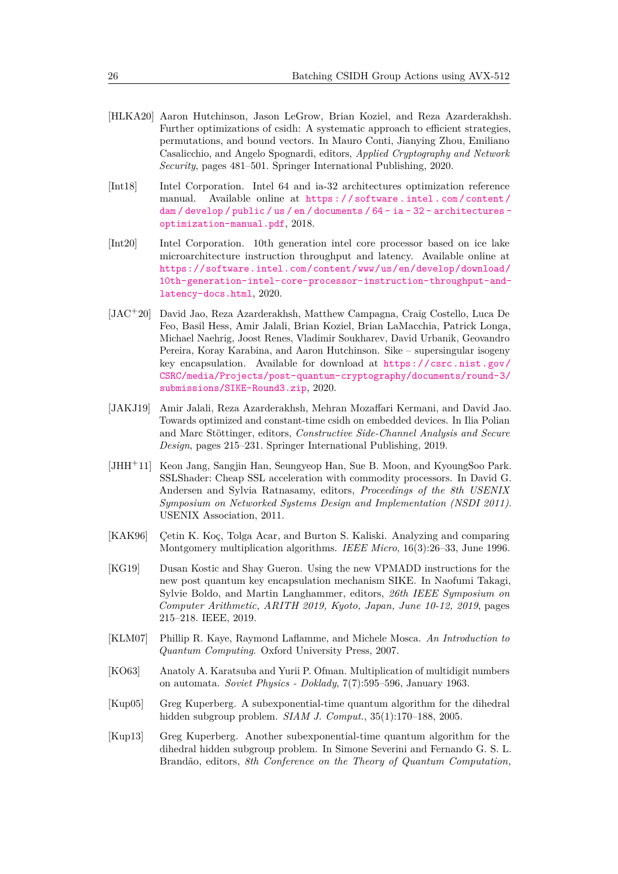- <span id="page-25-2"></span>[HLKA20] Aaron Hutchinson, Jason LeGrow, Brian Koziel, and Reza Azarderakhsh. Further optimizations of csidh: A systematic approach to efficient strategies, permutations, and bound vectors. In Mauro Conti, Jianying Zhou, Emiliano Casalicchio, and Angelo Spognardi, editors, *Applied Cryptography and Network Security*, pages 481–501. Springer International Publishing, 2020.
- <span id="page-25-7"></span>[Int18] Intel Corporation. Intel 64 and ia-32 architectures optimization reference manual. Available online at [https : / / software . intel . com / content /](https://software.intel.com/content/dam/develop/public/us/en/documents/64-ia-32-architectures-optimization-manual.pdf) [dam / develop / public / us / en / documents / 64 - ia - 32 - architectures](https://software.intel.com/content/dam/develop/public/us/en/documents/64-ia-32-architectures-optimization-manual.pdf)  [optimization-manual.pdf](https://software.intel.com/content/dam/develop/public/us/en/documents/64-ia-32-architectures-optimization-manual.pdf), 2018.
- <span id="page-25-8"></span>[Int20] Intel Corporation. 10th generation intel core processor based on ice lake microarchitecture instruction throughput and latency. Available online at [https://software.intel.com/content/www/us/en/develop/download/](https://software.intel.com/content/www/us/en/develop/download/10th-generation-intel-core-processor-instruction-throughput-and-latency-docs.html) [10th-generation-intel-core-processor-instruction-throughput-and](https://software.intel.com/content/www/us/en/develop/download/10th-generation-intel-core-processor-instruction-throughput-and-latency-docs.html)[latency-docs.html](https://software.intel.com/content/www/us/en/develop/download/10th-generation-intel-core-processor-instruction-throughput-and-latency-docs.html), 2020.
- <span id="page-25-1"></span>[JAC<sup>+</sup>20] David Jao, Reza Azarderakhsh, Matthew Campagna, Craig Costello, Luca De Feo, Basil Hess, Amir Jalali, Brian Koziel, Brian LaMacchia, Patrick Longa, Michael Naehrig, Joost Renes, Vladimir Soukharev, David Urbanik, Geovandro Pereira, Koray Karabina, and Aaron Hutchinson. Sike – supersingular isogeny key encapsulation. Available for download at [https://csrc.nist.gov/](https://csrc.nist.gov/CSRC/media/Projects/post-quantum-cryptography/documents/round-3/submissions/SIKE-Round3.zip) [CSRC/media/Projects/post-quantum-cryptography/documents/round-3/](https://csrc.nist.gov/CSRC/media/Projects/post-quantum-cryptography/documents/round-3/submissions/SIKE-Round3.zip) [submissions/SIKE-Round3.zip](https://csrc.nist.gov/CSRC/media/Projects/post-quantum-cryptography/documents/round-3/submissions/SIKE-Round3.zip), 2020.
- <span id="page-25-6"></span>[JAKJ19] Amir Jalali, Reza Azarderakhsh, Mehran Mozaffari Kermani, and David Jao. Towards optimized and constant-time csidh on embedded devices. In Ilia Polian and Marc Stöttinger, editors, *Constructive Side-Channel Analysis and Secure Design*, pages 215–231. Springer International Publishing, 2019.
- <span id="page-25-3"></span>[JHH<sup>+</sup>11] Keon Jang, Sangjin Han, Seungyeop Han, Sue B. Moon, and KyoungSoo Park. SSLShader: Cheap SSL acceleration with commodity processors. In David G. Andersen and Sylvia Ratnasamy, editors, *Proceedings of the 8th USENIX Symposium on Networked Systems Design and Implementation (NSDI 2011)*. USENIX Association, 2011.
- <span id="page-25-9"></span>[KAK96] Çetin K. Koç, Tolga Acar, and Burton S. Kaliski. Analyzing and comparing Montgomery multiplication algorithms. *IEEE Micro*, 16(3):26–33, June 1996.
- <span id="page-25-11"></span>[KG19] Dusan Kostic and Shay Gueron. Using the new VPMADD instructions for the new post quantum key encapsulation mechanism SIKE. In Naofumi Takagi, Sylvie Boldo, and Martin Langhammer, editors, *26th IEEE Symposium on Computer Arithmetic, ARITH 2019, Kyoto, Japan, June 10-12, 2019*, pages 215–218. IEEE, 2019.
- <span id="page-25-0"></span>[KLM07] Phillip R. Kaye, Raymond Laflamme, and Michele Mosca. *An Introduction to Quantum Computing*. Oxford University Press, 2007.
- <span id="page-25-10"></span>[KO63] Anatoly A. Karatsuba and Yurii P. Ofman. Multiplication of multidigit numbers on automata. *Soviet Physics - Doklady*, 7(7):595–596, January 1963.
- <span id="page-25-4"></span>[Kup05] Greg Kuperberg. A subexponential-time quantum algorithm for the dihedral hidden subgroup problem. *SIAM J. Comput.*, 35(1):170–188, 2005.
- <span id="page-25-5"></span>[Kup13] Greg Kuperberg. Another subexponential-time quantum algorithm for the dihedral hidden subgroup problem. In Simone Severini and Fernando G. S. L. Brandão, editors, *8th Conference on the Theory of Quantum Computation,*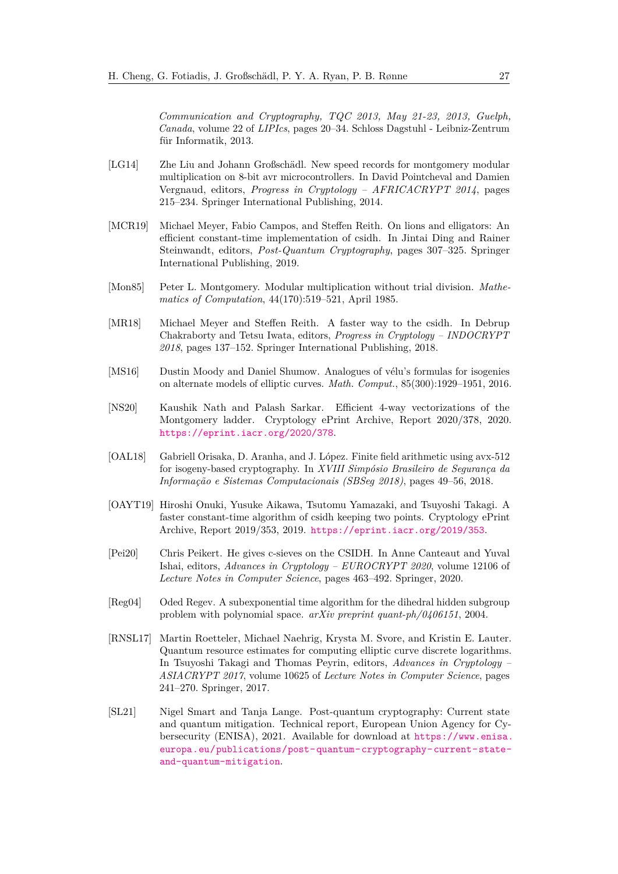*Communication and Cryptography, TQC 2013, May 21-23, 2013, Guelph, Canada*, volume 22 of *LIPIcs*, pages 20–34. Schloss Dagstuhl - Leibniz-Zentrum für Informatik, 2013.

- <span id="page-26-9"></span>[LG14] Zhe Liu and Johann Großschädl. New speed records for montgomery modular multiplication on 8-bit avr microcontrollers. In David Pointcheval and Damien Vergnaud, editors, *Progress in Cryptology – AFRICACRYPT 2014*, pages 215–234. Springer International Publishing, 2014.
- <span id="page-26-5"></span>[MCR19] Michael Meyer, Fabio Campos, and Steffen Reith. On lions and elligators: An efficient constant-time implementation of csidh. In Jintai Ding and Rainer Steinwandt, editors, *Post-Quantum Cryptography*, pages 307–325. Springer International Publishing, 2019.
- <span id="page-26-8"></span>[Mon85] Peter L. Montgomery. Modular multiplication without trial division. *Mathematics of Computation*, 44(170):519–521, April 1985.
- <span id="page-26-6"></span>[MR18] Michael Meyer and Steffen Reith. A faster way to the csidh. In Debrup Chakraborty and Tetsu Iwata, editors, *Progress in Cryptology – INDOCRYPT 2018*, pages 137–152. Springer International Publishing, 2018.
- <span id="page-26-11"></span>[MS16] Dustin Moody and Daniel Shumow. Analogues of vélu's formulas for isogenies on alternate models of elliptic curves. *Math. Comput.*, 85(300):1929–1951, 2016.
- <span id="page-26-2"></span>[NS20] Kaushik Nath and Palash Sarkar. Efficient 4-way vectorizations of the Montgomery ladder. Cryptology ePrint Archive, Report 2020/378, 2020. <https://eprint.iacr.org/2020/378>.
- <span id="page-26-10"></span>[OAL18] Gabriell Orisaka, D. Aranha, and J. López. Finite field arithmetic using avx-512 for isogeny-based cryptography. In *XVIII Simpósio Brasileiro de Segurança da Informação e Sistemas Computacionais (SBSeg 2018)*, pages 49–56, 2018.
- <span id="page-26-7"></span>[OAYT19] Hiroshi Onuki, Yusuke Aikawa, Tsutomu Yamazaki, and Tsuyoshi Takagi. A faster constant-time algorithm of csidh keeping two points. Cryptology ePrint Archive, Report 2019/353, 2019. <https://eprint.iacr.org/2019/353>.
- <span id="page-26-4"></span>[Pei20] Chris Peikert. He gives c-sieves on the CSIDH. In Anne Canteaut and Yuval Ishai, editors, *Advances in Cryptology – EUROCRYPT 2020*, volume 12106 of *Lecture Notes in Computer Science*, pages 463–492. Springer, 2020.
- <span id="page-26-3"></span>[Reg04] Oded Regev. A subexponential time algorithm for the dihedral hidden subgroup problem with polynomial space. *arXiv preprint quant-ph/0406151*, 2004.
- <span id="page-26-0"></span>[RNSL17] Martin Roetteler, Michael Naehrig, Krysta M. Svore, and Kristin E. Lauter. Quantum resource estimates for computing elliptic curve discrete logarithms. In Tsuyoshi Takagi and Thomas Peyrin, editors, *Advances in Cryptology – ASIACRYPT 2017*, volume 10625 of *Lecture Notes in Computer Science*, pages 241–270. Springer, 2017.
- <span id="page-26-1"></span>[SL21] Nigel Smart and Tanja Lange. Post-quantum cryptography: Current state and quantum mitigation. Technical report, European Union Agency for Cybersecurity (ENISA), 2021. Available for download at [https://www.enisa.](https://www.enisa.europa.eu/publications/post-quantum-cryptography-current-state-and-quantum-mitigation) [europa.eu/publications/post-quantum-cryptography-current-state](https://www.enisa.europa.eu/publications/post-quantum-cryptography-current-state-and-quantum-mitigation)[and-quantum-mitigation](https://www.enisa.europa.eu/publications/post-quantum-cryptography-current-state-and-quantum-mitigation).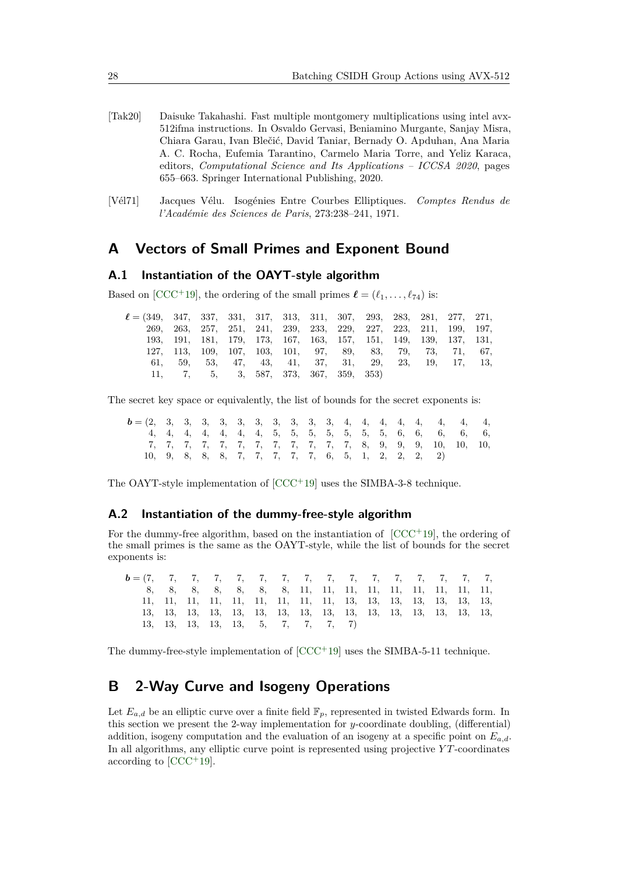- <span id="page-27-2"></span>[Tak20] Daisuke Takahashi. Fast multiple montgomery multiplications using intel avx-512ifma instructions. In Osvaldo Gervasi, Beniamino Murgante, Sanjay Misra, Chiara Garau, Ivan Blečić, David Taniar, Bernady O. Apduhan, Ana Maria A. C. Rocha, Eufemia Tarantino, Carmelo Maria Torre, and Yeliz Karaca, editors, *Computational Science and Its Applications – ICCSA 2020*, pages 655–663. Springer International Publishing, 2020.
- <span id="page-27-0"></span>[Vél71] Jacques Vélu. Isogénies Entre Courbes Elliptiques. *Comptes Rendus de l'Académie des Sciences de Paris*, 273:238–241, 1971.

### <span id="page-27-1"></span>**A Vectors of Small Primes and Exponent Bound**

### **A.1 Instantiation of the OAYT-style algorithm**

Based on [\[CCC](#page-23-5)<sup>+</sup>19], the ordering of the small primes  $\ell = (\ell_1, \ldots, \ell_{74})$  is:

| $\ell = (349, 347, 337, 331, 317, 313, 311, 307, 293, 283, 281, 277, 271,$ |     |                                      |  |  |                                                                  |  |  |
|----------------------------------------------------------------------------|-----|--------------------------------------|--|--|------------------------------------------------------------------|--|--|
|                                                                            |     |                                      |  |  | 269, 263, 257, 251, 241, 239, 233, 229, 227, 223, 211, 199, 197, |  |  |
|                                                                            |     |                                      |  |  | 193, 191, 181, 179, 173, 167, 163, 157, 151, 149, 139, 137, 131, |  |  |
|                                                                            |     |                                      |  |  | 127, 113, 109, 107, 103, 101, 97, 89, 83, 79, 73, 71, 67,        |  |  |
| 61.                                                                        | 59. |                                      |  |  | 53, 47, 43, 41, 37, 31, 29, 23, 19, 17, 13,                      |  |  |
|                                                                            |     | 11, 7, 5, 3, 587, 373, 367, 359, 353 |  |  |                                                                  |  |  |

The secret key space or equivalently, the list of bounds for the secret exponents is:

*b* = (2*,* 3*,* 3*,* 3*,* 3*,* 3*,* 3*,* 3*,* 3*,* 3*,* 3*,* 4*,* 4*,* 4*,* 4*,* 4*,* 4*,* 4*,* 4*, ,* 4*,* 4*,* 4*,* 4*,* 4*,* 4*,* 5*,* 5*,* 5*,* 5*,* 5*,* 5*,* 5*,* 6*,* 6*,* 6*,* 6*,* 6*, ,* 7*,* 7*,* 7*,* 7*,* 7*,* 7*,* 7*,* 7*,* 7*,* 7*,* 7*,* 8*,* 9*,* 9*,* 9*,* 10*,* 10*,* 10*, ,* 9*,* 8*,* 8*,* 8*,* 7*,* 7*,* 7*,* 7*,* 7*,* 6*,* 5*,* 1*,* 2*,* 2*,* 2*,* 2)

The OAYT-style implementation of  $[CCC<sup>+</sup>19]$  $[CCC<sup>+</sup>19]$  uses the SIMBA-3-8 technique.

### **A.2 Instantiation of the dummy-free-style algorithm**

For the dummy-free algorithm, based on the instantiation of  $[CCC<sup>+</sup>19]$  $[CCC<sup>+</sup>19]$ , the ordering of the small primes is the same as the OAYT-style, while the list of bounds for the secret exponents is:

| 13, 13, 13, 13, 13, 5, 7, 7, 7, 7 |  |  |  |  |  |  |  |
|-----------------------------------|--|--|--|--|--|--|--|

The dummy-free-style implementation of  $[CCC+19]$  $[CCC+19]$  uses the SIMBA-5-11 technique.

### <span id="page-27-3"></span>**B 2-Way Curve and Isogeny Operations**

Let  $E_{a,d}$  be an elliptic curve over a finite field  $\mathbb{F}_p$ , represented in twisted Edwards form. In this section we present the 2-way implementation for *y*-coordinate doubling, (differential) addition, isogeny computation and the evaluation of an isogeny at a specific point on *Ea,d*. In all algorithms, any elliptic curve point is represented using projective *Y T*-coordinates according to  $[CCC+19]$  $[CCC+19]$ .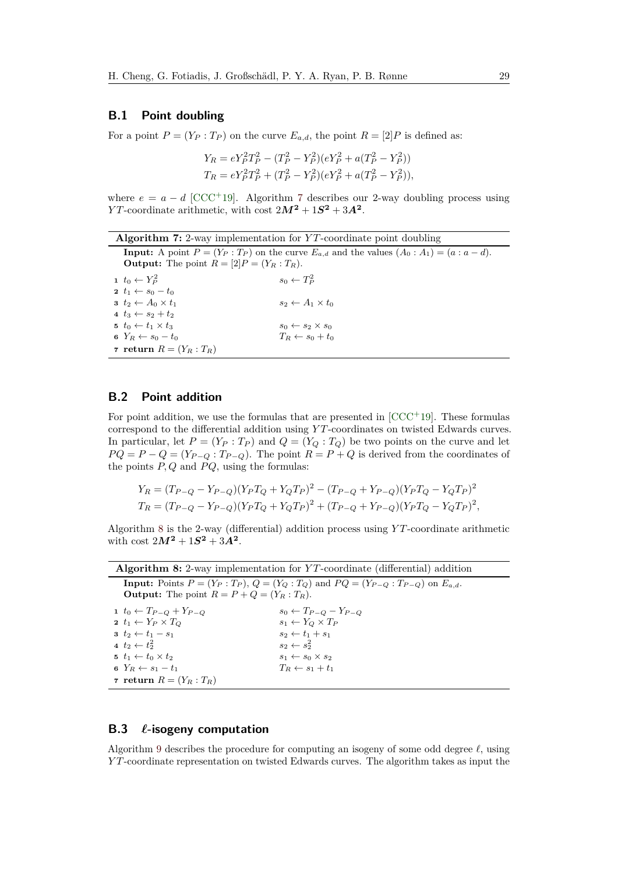#### **B.1 Point doubling**

For a point  $P = (Y_P : T_P)$  on the curve  $E_{a,d}$ , the point  $R = [2]P$  is defined as:

$$
Y_R = eY_P^2 T_P^2 - (T_P^2 - Y_P^2)(eY_P^2 + a(T_P^2 - Y_P^2))
$$
  
\n
$$
T_R = eY_P^2 T_P^2 + (T_P^2 - Y_P^2)(eY_P^2 + a(T_P^2 - Y_P^2)),
$$

where  $e = a - d$  [\[CCC](#page-23-5)<sup>+</sup>19]. Algorithm [7](#page-28-0) describes our 2-way doubling process using *YT*-coordinate arithmetic, with cost  $2M^2 + 1S^2 + 3A^2$ .

| <b>Algorithm 7:</b> 2-way implementation for $YT$ -coordinate point doubling                                                                                       |                                 |  |  |  |  |
|--------------------------------------------------------------------------------------------------------------------------------------------------------------------|---------------------------------|--|--|--|--|
| <b>Input:</b> A point $P = (Y_P : T_P)$ on the curve $E_{a,d}$ and the values $(A_0 : A_1) = (a : a - d)$ .<br><b>Output:</b> The point $R = [2]P = (Y_R : T_R)$ . |                                 |  |  |  |  |
|                                                                                                                                                                    |                                 |  |  |  |  |
| $1 t_0 \leftarrow Y_P^2$                                                                                                                                           | $s_0 \leftarrow T_P^2$          |  |  |  |  |
| $2 t_1 \leftarrow s_0 - t_0$                                                                                                                                       |                                 |  |  |  |  |
| $t_2 \leftarrow A_0 \times t_1$                                                                                                                                    | $s_2 \leftarrow A_1 \times t_0$ |  |  |  |  |
| $4 t_3 \leftarrow s_2 + t_2$                                                                                                                                       |                                 |  |  |  |  |
| 5 $t_0 \leftarrow t_1 \times t_3$                                                                                                                                  | $s_0 \leftarrow s_2 \times s_0$ |  |  |  |  |
| 6 $Y_B \leftarrow s_0 - t_0$                                                                                                                                       | $T_R \leftarrow s_0 + t_0$      |  |  |  |  |
| 7 return $R = (Y_R : T_R)$                                                                                                                                         |                                 |  |  |  |  |

### <span id="page-28-0"></span>**B.2 Point addition**

For point addition, we use the formulas that are presented in  $[CC<sup>+19</sup>]$ . These formulas correspond to the differential addition using *Y T*-coordinates on twisted Edwards curves. In particular, let  $P = (Y_P : T_P)$  and  $Q = (Y_Q : T_Q)$  be two points on the curve and let  $PQ = P - Q = (Y_{P-Q} : T_{P-Q})$ . The point  $R = P + Q$  is derived from the coordinates of the points  $P, Q$  and  $PQ$ , using the formulas:

$$
Y_R = (T_{P-Q} - Y_{P-Q})(Y_P T_Q + Y_Q T_P)^2 - (T_{P-Q} + Y_{P-Q})(Y_P T_Q - Y_Q T_P)^2
$$
  
\n
$$
T_R = (T_{P-Q} - Y_{P-Q})(Y_P T_Q + Y_Q T_P)^2 + (T_{P-Q} + Y_{P-Q})(Y_P T_Q - Y_Q T_P)^2,
$$

Algorithm [8](#page-28-1) is the 2-way (differential) addition process using *Y T*-coordinate arithmetic with cost  $2M^2 + 1S^2 + 3A^2$ .

|                                                                                                                                                               | <b>Algorithm 8:</b> 2-way implementation for $YT$ -coordinate (differential) addition |  |  |  |  |  |
|---------------------------------------------------------------------------------------------------------------------------------------------------------------|---------------------------------------------------------------------------------------|--|--|--|--|--|
| <b>Input:</b> Points $P = (Y_P : T_P), Q = (Y_Q : T_Q)$ and $PQ = (Y_{P-Q} : T_{P-Q})$ on $E_{a,d}$ .<br><b>Output:</b> The point $R = P + Q = (Y_R : T_R)$ . |                                                                                       |  |  |  |  |  |
| $1 t_0 \leftarrow T_{P-Q} + Y_{P-Q}$                                                                                                                          | $s_0 \leftarrow T_{P-Q} - Y_{P-Q}$                                                    |  |  |  |  |  |
| $2 t_1 \leftarrow Y_P \times T_O$                                                                                                                             | $s_1 \leftarrow Y_O \times T_P$                                                       |  |  |  |  |  |
| $3 \t t_2 \leftarrow t_1 - s_1$                                                                                                                               | $s_2 \leftarrow t_1 + s_1$                                                            |  |  |  |  |  |
| 4 $t_2 \leftarrow t_2^2$                                                                                                                                      | $s_2 \leftarrow s_2^2$                                                                |  |  |  |  |  |
| 5 $t_1 \leftarrow t_0 \times t_2$                                                                                                                             | $s_1 \leftarrow s_0 \times s_2$                                                       |  |  |  |  |  |
| 6 $Y_R \leftarrow s_1 - t_1$                                                                                                                                  | $T_R \leftarrow s_1 + t_1$                                                            |  |  |  |  |  |
| 7 return $R = (Y_R : T_R)$                                                                                                                                    |                                                                                       |  |  |  |  |  |

### <span id="page-28-1"></span>**B.3** *`***-isogeny computation**

Algorithm [9](#page-29-0) describes the procedure for computing an isogeny of some odd degree  $\ell$ , using *Y T*-coordinate representation on twisted Edwards curves. The algorithm takes as input the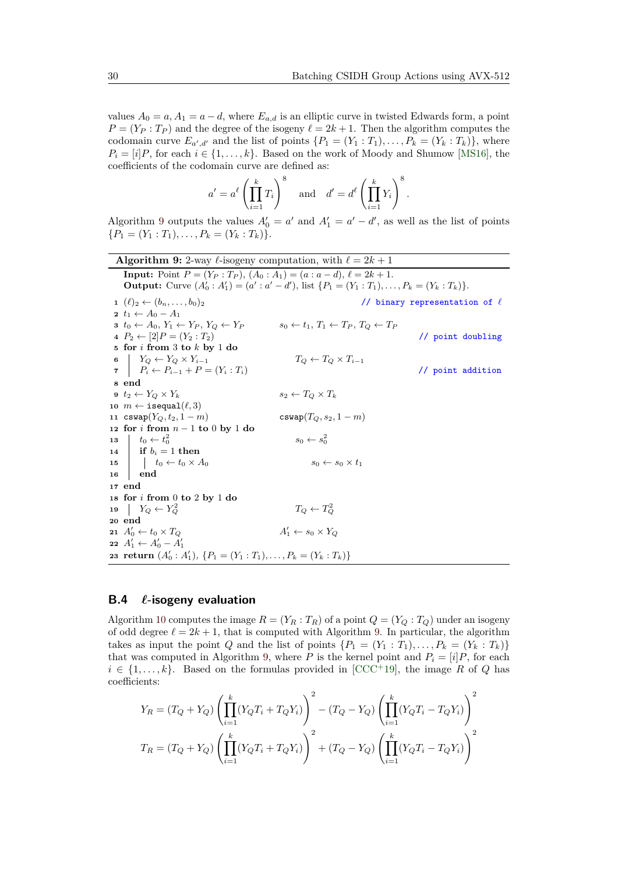values  $A_0 = a, A_1 = a - d$ , where  $E_{a,d}$  is an elliptic curve in twisted Edwards form, a point  $P = (Y_P : T_P)$  and the degree of the isogeny  $\ell = 2k + 1$ . Then the algorithm computes the codomain curve  $E_{a',d'}$  and the list of points  $\{P_1 = (Y_1 : T_1), \ldots, P_k = (Y_k : T_k)\}\$ , where  $P_i = [i]P$ , for each  $i \in \{1, ..., k\}$ . Based on the work of Moody and Shumow [\[MS16\]](#page-26-11), the coefficients of the codomain curve are defined as:

$$
a' = a^{\ell} \left( \prod_{i=1}^{k} T_i \right)^8
$$
 and  $d' = d^{\ell} \left( \prod_{i=1}^{k} Y_i \right)^8$ .

Algorithm [9](#page-29-0) outputs the values  $A'_0 = a'$  and  $A'_1 = a' - d'$ , as well as the list of points  ${P_1 = (Y_1 : T_1), \ldots, P_k = (Y_k : T_k)}.$ 

|    | <b>Algorithm 9:</b> 2-way $\ell$ -isogeny computation, with $\ell = 2k + 1$                                      |                                                              |                                    |
|----|------------------------------------------------------------------------------------------------------------------|--------------------------------------------------------------|------------------------------------|
|    | <b>Input:</b> Point $P = (Y_P : T_P), (A_0 : A_1) = (a : a - d), \ell = 2k + 1.$                                 |                                                              |                                    |
|    | <b>Output:</b> Curve $(A'_0 : A'_1) = (a' : a' - d')$ , list $\{P_1 = (Y_1 : T_1), \ldots, P_k = (Y_k : T_k)\}.$ |                                                              |                                    |
|    | 1 $(\ell)_2 \leftarrow (b_n, \ldots, b_0)_2$                                                                     |                                                              | // binary representation of $\ell$ |
|    | $2 t_1 \leftarrow A_0 - A_1$                                                                                     |                                                              |                                    |
|    | $x_0 \leftarrow A_0, Y_1 \leftarrow Y_P, Y_Q \leftarrow Y_P$                                                     | $s_0 \leftarrow t_1, T_1 \leftarrow T_P, T_Q \leftarrow T_P$ |                                    |
|    | 4 $P_2 \leftarrow [2]P = (Y_2 : T_2)$                                                                            |                                                              | // point doubling                  |
|    | $5$ for $i$ from 3 to $k$ by 1 do                                                                                |                                                              |                                    |
|    | 6 $Y_Q \leftarrow Y_Q \times Y_{i-1}$<br>7 $P_i \leftarrow P_{i-1} + P = (Y_i : T_i)$                            | $T_O \leftarrow T_O \times T_{i-1}$                          |                                    |
|    |                                                                                                                  |                                                              | // point addition                  |
|    | 8 end                                                                                                            |                                                              |                                    |
|    | $\mathbf{9} \ t_2 \leftarrow Y_O \times Y_k$                                                                     | $s_2 \leftarrow T_O \times T_k$                              |                                    |
|    | 10 $m \leftarrow$ isequal $(\ell, 3)$                                                                            |                                                              |                                    |
|    | 11 $\text{cswap}(Y_Q, t_2, 1-m)$                                                                                 | $\texttt{cswap}(T_O, s_2, 1-m)$                              |                                    |
|    | 12 for $i$ from $n-1$ to 0 by 1 do                                                                               |                                                              |                                    |
| 13 | $t_0 \leftarrow t_0^2$                                                                                           | $s_0 \leftarrow s_0^2$                                       |                                    |
|    | 14   if $b_i = 1$ then                                                                                           |                                                              |                                    |
| 15 | $\begin{array}{ c c c c c }\n\hline\n& t_0 \leftarrow t_0 \times A_0\n\end{array}$                               | $s_0 \leftarrow s_0 \times t_1$                              |                                    |
| 16 | end                                                                                                              |                                                              |                                    |
|    | 17 end                                                                                                           |                                                              |                                    |
|    | 18 for $i$ from 0 to 2 by 1 do                                                                                   |                                                              |                                    |
|    | 19 $Y_Q \leftarrow Y_O^2$                                                                                        | $T_Q \leftarrow T_Q^2$                                       |                                    |
|    | 20 end                                                                                                           |                                                              |                                    |
|    | 21 $A'_0 \leftarrow t_0 \times T_O$                                                                              | $A'_1 \leftarrow s_0 \times Y_O$                             |                                    |
|    | $22 A'_1 \leftarrow A'_0 - A'_1$                                                                                 |                                                              |                                    |
|    | 23 return $(A'_0: A'_1), \{P_1=(Y_1: T_1), \ldots, P_k=(Y_k: T_k)\}\$                                            |                                                              |                                    |

#### <span id="page-29-0"></span>**B.4** *`***-isogeny evaluation**

Algorithm [10](#page-30-2) computes the image  $R = (Y_R : T_R)$  of a point  $Q = (Y_Q : T_Q)$  under an isogeny of odd degree  $\ell = 2k + 1$ , that is computed with Algorithm [9.](#page-29-0) In particular, the algorithm takes as input the point *Q* and the list of points  $\{P_1 = (Y_1 : T_1), \ldots, P_k = (Y_k : T_k)\}$ that was computed in Algorithm [9,](#page-29-0) where *P* is the kernel point and  $P_i = [i]P$ , for each  $i \in \{1, \ldots, k\}$ . Based on the formulas provided in [\[CCC](#page-23-5)<sup>+</sup>19], the image R of Q has coefficients:

$$
Y_R = (T_Q + Y_Q) \left( \prod_{i=1}^k (Y_Q T_i + T_Q Y_i) \right)^2 - (T_Q - Y_Q) \left( \prod_{i=1}^k (Y_Q T_i - T_Q Y_i) \right)^2
$$
  

$$
T_R = (T_Q + Y_Q) \left( \prod_{i=1}^k (Y_Q T_i + T_Q Y_i) \right)^2 + (T_Q - Y_Q) \left( \prod_{i=1}^k (Y_Q T_i - T_Q Y_i) \right)^2
$$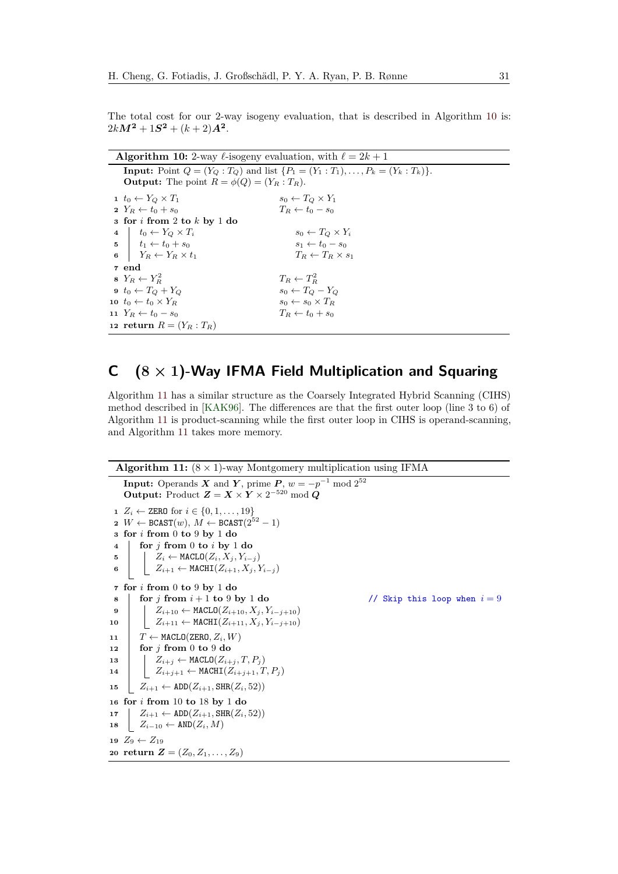The total cost for our 2-way isogeny evaluation, that is described in Algorithm [10](#page-30-2) is:  $2kM^2 + 1S^2 + (k+2)A^2$ .

| <b>Algorithm 10:</b> 2-way $\ell$ -isogeny evaluation, with $\ell = 2k + 1$                                                                                  |                                                               |  |  |  |
|--------------------------------------------------------------------------------------------------------------------------------------------------------------|---------------------------------------------------------------|--|--|--|
| <b>Input:</b> Point $Q = (Y_O : T_O)$ and list $\{P_1 = (Y_1 : T_1), \ldots, P_k = (Y_k : T_k)\}.$<br><b>Output:</b> The point $R = \phi(Q) = (Y_R : T_R)$ . |                                                               |  |  |  |
| $1 t_0 \leftarrow Y_O \times T_1$<br>$2 Y_B \leftarrow t_0 + s_0$                                                                                            | $s_0 \leftarrow T_O \times Y_1$<br>$T_R \leftarrow t_0 - s_0$ |  |  |  |
| $\sigma$ s for $i$ from 2 to $k$ by 1 do                                                                                                                     |                                                               |  |  |  |
| $4 \mid t_0 \leftarrow Y_O \times T_i$                                                                                                                       | $s_0 \leftarrow T_O \times Y_i$                               |  |  |  |
| 5 $t_1 \leftarrow t_0 + s_0$                                                                                                                                 | $s_1 \leftarrow t_0 - s_0$                                    |  |  |  |
| 6 $Y_R \leftarrow Y_R \times t_1$                                                                                                                            | $T_R \leftarrow T_R \times s_1$                               |  |  |  |
| 7 end                                                                                                                                                        |                                                               |  |  |  |
| $8 Y_R \leftarrow Y_R^2$                                                                                                                                     | $T_R \leftarrow T_P^2$                                        |  |  |  |
| $\bullet$ t <sub>0</sub> $\leftarrow$ T <sub>O</sub> + Y <sub>O</sub>                                                                                        | $s_0 \leftarrow T_O - Y_O$                                    |  |  |  |
| 10 $t_0 \leftarrow t_0 \times Y_R$                                                                                                                           | $s_0 \leftarrow s_0 \times T_R$                               |  |  |  |
| 11 $Y_R \leftarrow t_0 - s_0$                                                                                                                                | $T_R \leftarrow t_0 + s_0$                                    |  |  |  |
| 12 return $R = (Y_R : T_R)$                                                                                                                                  |                                                               |  |  |  |

# <span id="page-30-2"></span><span id="page-30-1"></span>**C (8 × 1)-Way IFMA Field Multiplication and Squaring**

Algorithm [11](#page-30-0) has a similar structure as the Coarsely Integrated Hybrid Scanning (CIHS) method described in [\[KAK96\]](#page-25-9). The differences are that the first outer loop (line 3 to 6) of Algorithm [11](#page-30-0) is product-scanning while the first outer loop in CIHS is operand-scanning, and Algorithm [11](#page-30-0) takes more memory.

```
Algorithm 11: (8 \times 1)-way Montgomery multiplication using IFMA
    Input: Operands X and Y, prime P, w = -p^{-1} \mod 2^{52}\textbf{Output:} \text{ Product } \mathbf{Z} = \mathbf{X} \times \mathbf{Y} \times 2^{-520} \text{ mod } \mathbf{Q}1 Z_i ← ZERO for i \in \{0, 1, ..., 19\}2 W ← BCAST(w), M ← BCAST(2^{52} - 1)3 for i from 0 to 9 by 1 do
 4 for j from 0 to i by 1 do
 5 Z_i \leftarrow \text{MACLO}(Z_i, X_j, Y_{i-j})6 Z_{i+1} \leftarrow \text{MACHI}(Z_{i+1}, X_j, Y_{i-j})7 for i from 0 to 9 by 1 do
 8 for j from i+1 to 9 by 1 do // Skip this loop when i=99 Z<sub>i+10</sub> ← MACLO(Z<sup>i+10</sub>, X<sup>j</sup>, Y<sub>i−j+10</sub>)</sup>
10 \qquad \qquad \begin{array}{ccc} \n & Z_{i+11} \leftarrow \text{MACHI}(Z_{i+11}, X_j, Y_{i-j+10})\n \end{array}11 T \leftarrow \text{MACLO}( \text{ZERO}, Z_i, W)12 for j from 0 to 9 do
13 z Z_{i+j} \leftarrow \text{MACLO}(Z_{i+j}, T, P_j)14 Z<sub>i+j+1</sub> ← MACHI(Z_{i+j+1}, T, P_j)15 Z<sub>i+1</sub> \leftarrow ADD(Z_i, 52)16 for i from 10 to 18 by 1 do
17 Z_{i+1} ← ADD(Z_{i+1}, \text{SHR}(Z_i, 52))18 Z_{i-10} ← AND(Z_i, M)19 Z_9 ← Z_{19}20 return Z = (Z_0, Z_1, \ldots, Z_9)
```